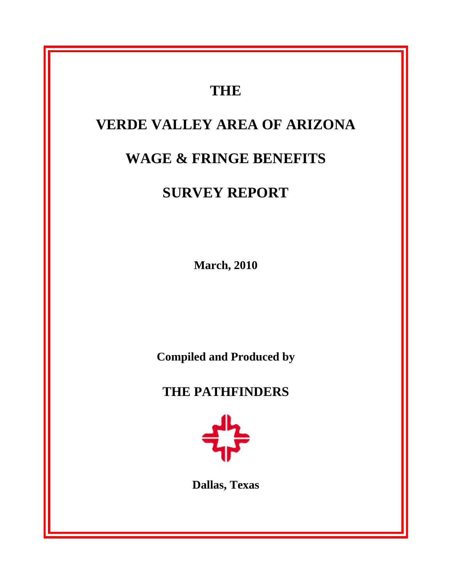# **THE VERDE VALLEY AREA OF ARIZONA WAGE & FRINGE BENEFITS SURVEY REPORT March, 2010 Compiled and Produced by THE PATHFINDERS Dallas, Texas**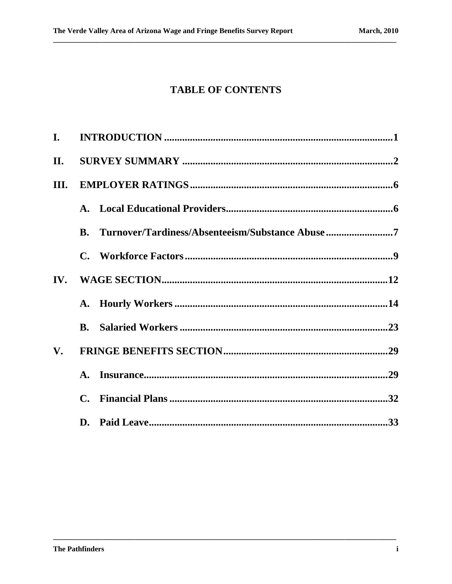# **TABLE OF CONTENTS**

| $\mathbf{I}$ . |           |                                                 |
|----------------|-----------|-------------------------------------------------|
| II.            |           |                                                 |
| III.           |           |                                                 |
|                |           |                                                 |
|                | <b>B.</b> | Turnover/Tardiness/Absenteeism/Substance Abuse7 |
|                |           |                                                 |
|                |           |                                                 |
|                |           |                                                 |
|                |           |                                                 |
| $V_{\bullet}$  |           |                                                 |
|                |           |                                                 |
|                |           |                                                 |
|                |           |                                                 |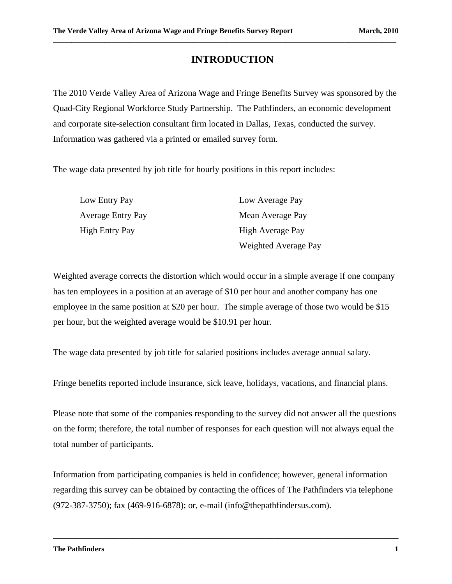# **INTRODUCTION**

**\_\_\_\_\_\_\_\_\_\_\_\_\_\_\_\_\_\_\_\_\_\_\_\_\_\_\_\_\_\_\_\_\_\_\_\_\_\_\_\_\_\_\_\_\_\_\_\_\_\_\_\_\_\_\_\_\_\_\_\_\_\_\_\_\_\_\_\_\_\_\_\_\_\_\_\_\_\_\_\_\_\_\_\_\_\_\_\_\_\_\_\_\_**

The 2010 Verde Valley Area of Arizona Wage and Fringe Benefits Survey was sponsored by the Quad-City Regional Workforce Study Partnership. The Pathfinders, an economic development and corporate site-selection consultant firm located in Dallas, Texas, conducted the survey. Information was gathered via a printed or emailed survey form.

The wage data presented by job title for hourly positions in this report includes:

| Low Entry Pay            | Low Average Pay      |
|--------------------------|----------------------|
| <b>Average Entry Pay</b> | Mean Average Pay     |
| <b>High Entry Pay</b>    | High Average Pay     |
|                          | Weighted Average Pay |

Weighted average corrects the distortion which would occur in a simple average if one company has ten employees in a position at an average of \$10 per hour and another company has one employee in the same position at \$20 per hour. The simple average of those two would be \$15 per hour, but the weighted average would be \$10.91 per hour.

The wage data presented by job title for salaried positions includes average annual salary.

Fringe benefits reported include insurance, sick leave, holidays, vacations, and financial plans.

Please note that some of the companies responding to the survey did not answer all the questions on the form; therefore, the total number of responses for each question will not always equal the total number of participants.

Information from participating companies is held in confidence; however, general information regarding this survey can be obtained by contacting the offices of The Pathfinders via telephone (972-387-3750); fax (469-916-6878); or, e-mail (info@thepathfindersus.com).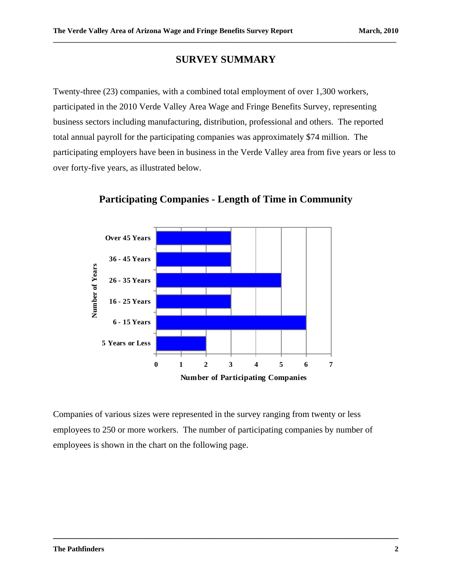#### **SURVEY SUMMARY**

**\_\_\_\_\_\_\_\_\_\_\_\_\_\_\_\_\_\_\_\_\_\_\_\_\_\_\_\_\_\_\_\_\_\_\_\_\_\_\_\_\_\_\_\_\_\_\_\_\_\_\_\_\_\_\_\_\_\_\_\_\_\_\_\_\_\_\_\_\_\_\_\_\_\_\_\_\_\_\_\_\_\_\_\_\_\_\_\_\_\_\_\_\_**

Twenty-three (23) companies, with a combined total employment of over 1,300 workers, participated in the 2010 Verde Valley Area Wage and Fringe Benefits Survey, representing business sectors including manufacturing, distribution, professional and others. The reported total annual payroll for the participating companies was approximately \$74 million. The participating employers have been in business in the Verde Valley area from five years or less to over forty-five years, as illustrated below.



**Participating Companies - Length of Time in Community** 

Companies of various sizes were represented in the survey ranging from twenty or less employees to 250 or more workers. The number of participating companies by number of employees is shown in the chart on the following page.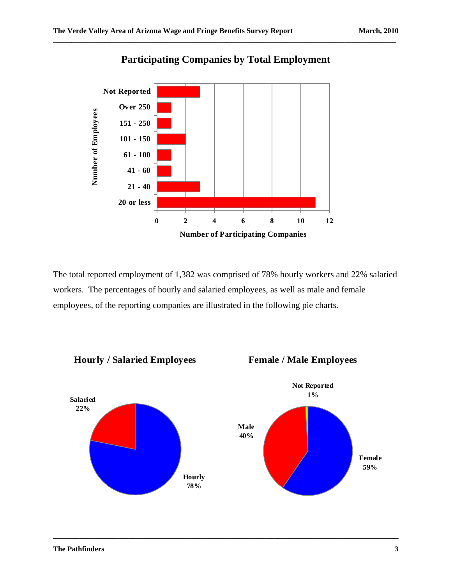

# **Participating Companies by Total Employment**

**\_\_\_\_\_\_\_\_\_\_\_\_\_\_\_\_\_\_\_\_\_\_\_\_\_\_\_\_\_\_\_\_\_\_\_\_\_\_\_\_\_\_\_\_\_\_\_\_\_\_\_\_\_\_\_\_\_\_\_\_\_\_\_\_\_\_\_\_\_\_\_\_\_\_\_\_\_\_\_\_\_\_\_\_\_\_\_\_\_\_\_\_\_**

The total reported employment of 1,382 was comprised of 78% hourly workers and 22% salaried workers. The percentages of hourly and salaried employees, as well as male and female employees, of the reporting companies are illustrated in the following pie charts.

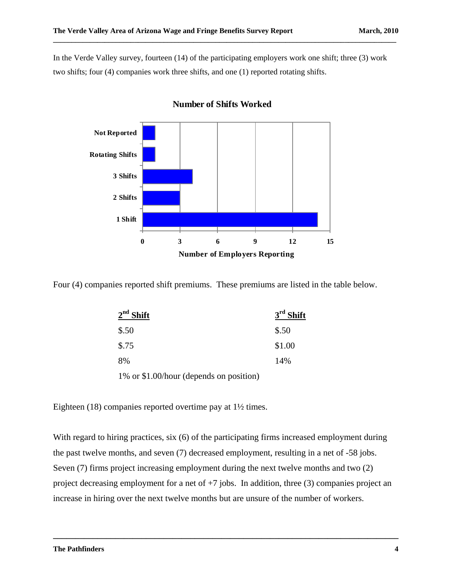In the Verde Valley survey, fourteen (14) of the participating employers work one shift; three (3) work two shifts; four (4) companies work three shifts, and one (1) reported rotating shifts.

**\_\_\_\_\_\_\_\_\_\_\_\_\_\_\_\_\_\_\_\_\_\_\_\_\_\_\_\_\_\_\_\_\_\_\_\_\_\_\_\_\_\_\_\_\_\_\_\_\_\_\_\_\_\_\_\_\_\_\_\_\_\_\_\_\_\_\_\_\_\_\_\_\_\_\_\_\_\_\_\_\_\_\_\_\_\_\_\_\_\_\_\_\_**



#### **Number of Shifts Worked**

Four (4) companies reported shift premiums. These premiums are listed in the table below.

| $2nd$ Shift                             | $3rd$ Shift |
|-----------------------------------------|-------------|
| \$.50                                   | \$.50       |
| \$.75                                   | \$1.00      |
| 8%                                      | 14%         |
| 1% or \$1.00/hour (depends on position) |             |

Eighteen (18) companies reported overtime pay at 1½ times.

With regard to hiring practices, six (6) of the participating firms increased employment during the past twelve months, and seven (7) decreased employment, resulting in a net of -58 jobs. Seven (7) firms project increasing employment during the next twelve months and two (2) project decreasing employment for a net of  $+7$  jobs. In addition, three (3) companies project an increase in hiring over the next twelve months but are unsure of the number of workers.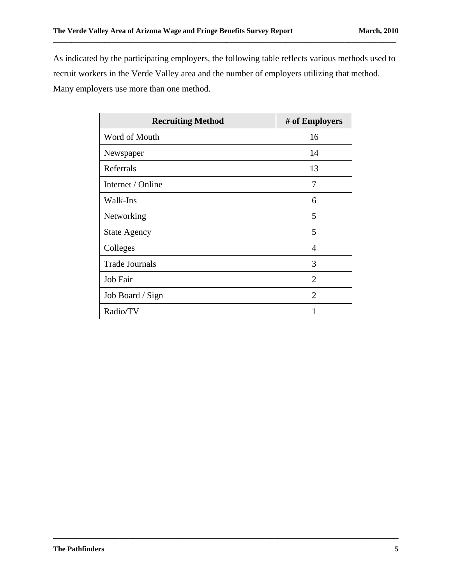As indicated by the participating employers, the following table reflects various methods used to recruit workers in the Verde Valley area and the number of employers utilizing that method. Many employers use more than one method.

**\_\_\_\_\_\_\_\_\_\_\_\_\_\_\_\_\_\_\_\_\_\_\_\_\_\_\_\_\_\_\_\_\_\_\_\_\_\_\_\_\_\_\_\_\_\_\_\_\_\_\_\_\_\_\_\_\_\_\_\_\_\_\_\_\_\_\_\_\_\_\_\_\_\_\_\_\_\_\_\_\_\_\_\_\_\_\_\_\_\_\_\_\_**

| <b>Recruiting Method</b> | # of Employers |
|--------------------------|----------------|
| Word of Mouth            | 16             |
| Newspaper                | 14             |
| Referrals                | 13             |
| Internet / Online        | 7              |
| Walk-Ins                 | 6              |
| Networking               | 5              |
| <b>State Agency</b>      | 5              |
| Colleges                 | 4              |
| <b>Trade Journals</b>    | 3              |
| Job Fair                 | $\overline{2}$ |
| Job Board / Sign         | 2              |
| Radio/TV                 | 1              |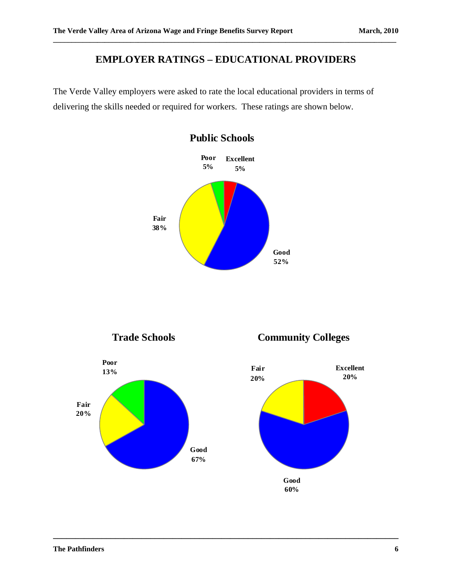# **EMPLOYER RATINGS – EDUCATIONAL PROVIDERS**

**\_\_\_\_\_\_\_\_\_\_\_\_\_\_\_\_\_\_\_\_\_\_\_\_\_\_\_\_\_\_\_\_\_\_\_\_\_\_\_\_\_\_\_\_\_\_\_\_\_\_\_\_\_\_\_\_\_\_\_\_\_\_\_\_\_\_\_\_\_\_\_\_\_\_\_\_\_\_\_\_\_\_\_\_\_\_\_\_\_\_\_\_\_**

The Verde Valley employers were asked to rate the local educational providers in terms of delivering the skills needed or required for workers. These ratings are shown below.



**\_\_\_\_\_\_\_\_\_\_\_\_\_\_\_\_\_\_\_\_\_\_\_\_\_\_\_\_\_\_\_\_\_\_\_\_\_\_\_\_\_\_\_\_\_\_\_\_\_\_\_\_\_\_\_\_\_\_\_\_\_\_\_\_\_\_\_\_\_\_\_\_\_\_\_\_\_\_**

#### **Public Schools**



**Good 60%**

**Excellent 20%**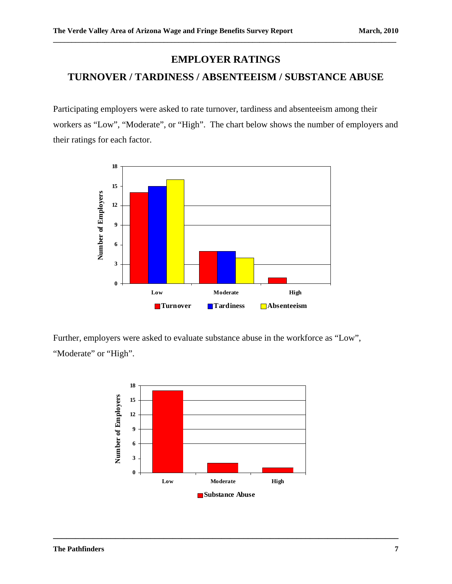# **EMPLOYER RATINGS**

**\_\_\_\_\_\_\_\_\_\_\_\_\_\_\_\_\_\_\_\_\_\_\_\_\_\_\_\_\_\_\_\_\_\_\_\_\_\_\_\_\_\_\_\_\_\_\_\_\_\_\_\_\_\_\_\_\_\_\_\_\_\_\_\_\_\_\_\_\_\_\_\_\_\_\_\_\_\_\_\_\_\_\_\_\_\_\_\_\_\_\_\_\_**

# **TURNOVER / TARDINESS / ABSENTEEISM / SUBSTANCE ABUSE**

Participating employers were asked to rate turnover, tardiness and absenteeism among their workers as "Low", "Moderate", or "High". The chart below shows the number of employers and their ratings for each factor.



Further, employers were asked to evaluate substance abuse in the workforce as "Low", "Moderate" or "High".

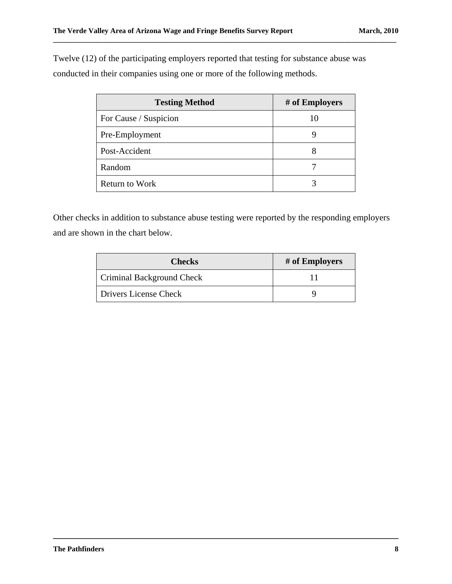Twelve (12) of the participating employers reported that testing for substance abuse was conducted in their companies using one or more of the following methods.

**\_\_\_\_\_\_\_\_\_\_\_\_\_\_\_\_\_\_\_\_\_\_\_\_\_\_\_\_\_\_\_\_\_\_\_\_\_\_\_\_\_\_\_\_\_\_\_\_\_\_\_\_\_\_\_\_\_\_\_\_\_\_\_\_\_\_\_\_\_\_\_\_\_\_\_\_\_\_\_\_\_\_\_\_\_\_\_\_\_\_\_\_\_**

| <b>Testing Method</b> | # of Employers |
|-----------------------|----------------|
| For Cause / Suspicion | 10             |
| Pre-Employment        |                |
| Post-Accident         | 8              |
| Random                |                |
| <b>Return to Work</b> |                |

Other checks in addition to substance abuse testing were reported by the responding employers and are shown in the chart below.

| <b>Checks</b>             | # of Employers |
|---------------------------|----------------|
| Criminal Background Check |                |
| Drivers License Check     |                |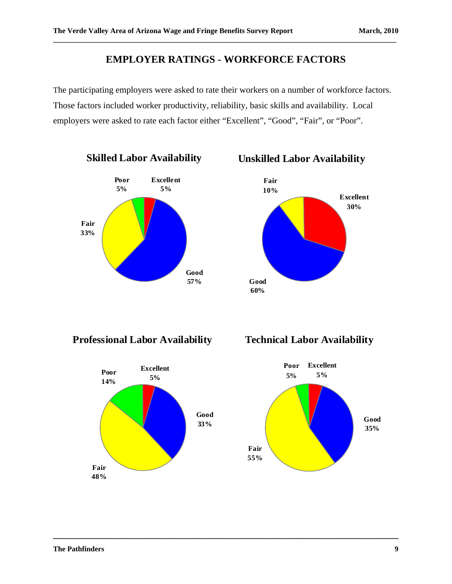# **EMPLOYER RATINGS - WORKFORCE FACTORS**

**\_\_\_\_\_\_\_\_\_\_\_\_\_\_\_\_\_\_\_\_\_\_\_\_\_\_\_\_\_\_\_\_\_\_\_\_\_\_\_\_\_\_\_\_\_\_\_\_\_\_\_\_\_\_\_\_\_\_\_\_\_\_\_\_\_\_\_\_\_\_\_\_\_\_\_\_\_\_\_\_\_\_\_\_\_\_\_\_\_\_\_\_\_**

The participating employers were asked to rate their workers on a number of workforce factors. Those factors included worker productivity, reliability, basic skills and availability. Local employers were asked to rate each factor either "Excellent", "Good", "Fair", or "Poor".

**\_\_\_\_\_\_\_\_\_\_\_\_\_\_\_\_\_\_\_\_\_\_\_\_\_\_\_\_\_\_\_\_\_\_\_\_\_\_\_\_\_\_\_\_\_\_\_\_\_\_\_\_\_\_\_\_\_\_\_\_\_\_\_\_\_\_\_\_\_\_\_\_\_\_\_\_\_\_**





**Professional Labor Availability**



**Technical Labor Availability**

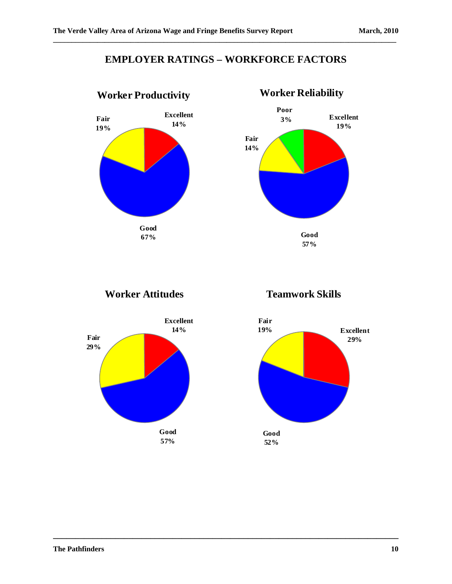# **EMPLOYER RATINGS – WORKFORCE FACTORS**

**\_\_\_\_\_\_\_\_\_\_\_\_\_\_\_\_\_\_\_\_\_\_\_\_\_\_\_\_\_\_\_\_\_\_\_\_\_\_\_\_\_\_\_\_\_\_\_\_\_\_\_\_\_\_\_\_\_\_\_\_\_\_\_\_\_\_\_\_\_\_\_\_\_\_\_\_\_\_**

**\_\_\_\_\_\_\_\_\_\_\_\_\_\_\_\_\_\_\_\_\_\_\_\_\_\_\_\_\_\_\_\_\_\_\_\_\_\_\_\_\_\_\_\_\_\_\_\_\_\_\_\_\_\_\_\_\_\_\_\_\_\_\_\_\_\_\_\_\_\_\_\_\_\_\_\_\_\_\_\_\_\_\_\_\_\_\_\_\_\_\_\_\_**



# **Worker Reliability Poor 3% Good 57% Fair 14% Excellent 19%**

**Worker Attitudes**





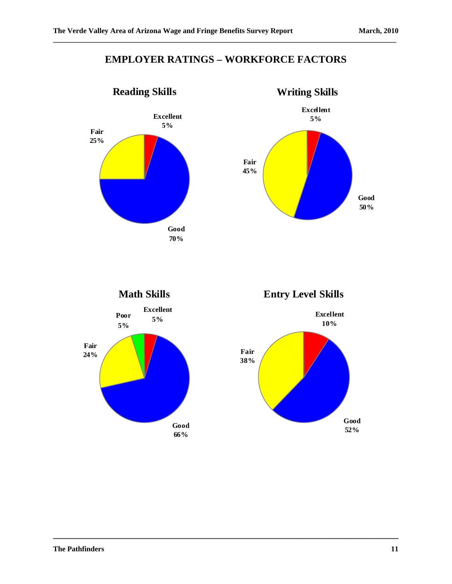# **EMPLOYER RATINGS – WORKFORCE FACTORS**

**\_\_\_\_\_\_\_\_\_\_\_\_\_\_\_\_\_\_\_\_\_\_\_\_\_\_\_\_\_\_\_\_\_\_\_\_\_\_\_\_\_\_\_\_\_\_\_\_\_\_\_\_\_\_\_\_\_\_\_\_\_\_\_\_\_\_\_\_\_\_\_\_\_\_\_\_\_\_**









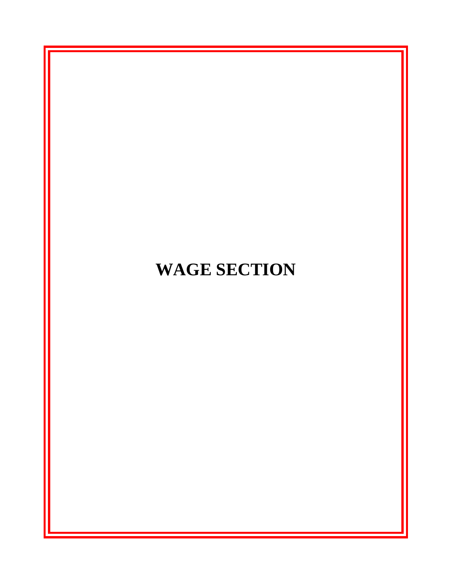# **WAGE SECTION**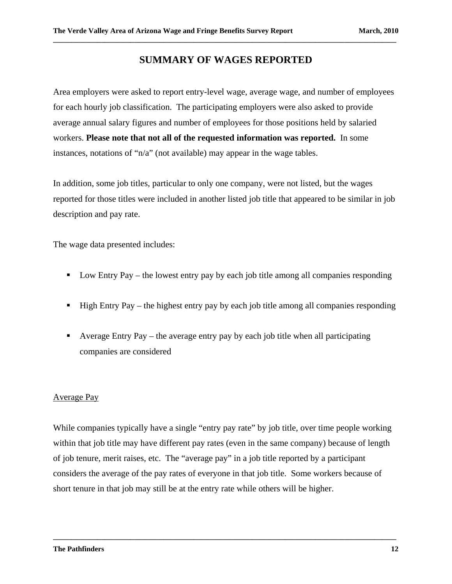#### **SUMMARY OF WAGES REPORTED**

**\_\_\_\_\_\_\_\_\_\_\_\_\_\_\_\_\_\_\_\_\_\_\_\_\_\_\_\_\_\_\_\_\_\_\_\_\_\_\_\_\_\_\_\_\_\_\_\_\_\_\_\_\_\_\_\_\_\_\_\_\_\_\_\_\_\_\_\_\_\_\_\_\_\_\_\_\_\_\_\_\_\_\_\_\_\_\_\_\_\_\_\_\_** 

Area employers were asked to report entry-level wage, average wage, and number of employees for each hourly job classification. The participating employers were also asked to provide average annual salary figures and number of employees for those positions held by salaried workers. **Please note that not all of the requested information was reported.** In some instances, notations of "n/a" (not available) may appear in the wage tables.

In addition, some job titles, particular to only one company, were not listed, but the wages reported for those titles were included in another listed job title that appeared to be similar in job description and pay rate.

The wage data presented includes:

- Low Entry Pay the lowest entry pay by each job title among all companies responding
- $\blacksquare$  High Entry Pay the highest entry pay by each job title among all companies responding
- Average Entry Pay the average entry pay by each job title when all participating companies are considered

#### Average Pay

While companies typically have a single "entry pay rate" by job title, over time people working within that job title may have different pay rates (even in the same company) because of length of job tenure, merit raises, etc. The "average pay" in a job title reported by a participant considers the average of the pay rates of everyone in that job title. Some workers because of short tenure in that job may still be at the entry rate while others will be higher.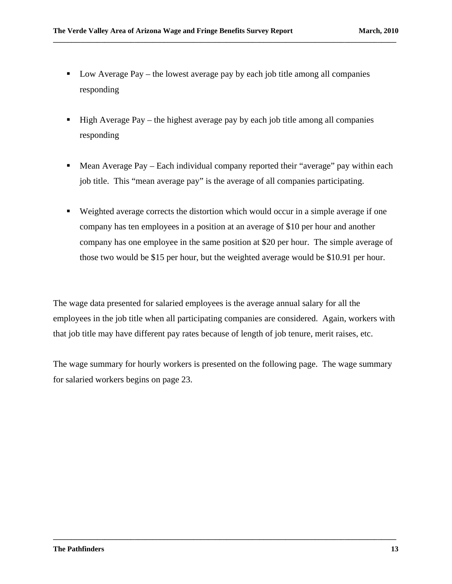$\blacksquare$  Low Average Pay – the lowest average pay by each job title among all companies responding

**\_\_\_\_\_\_\_\_\_\_\_\_\_\_\_\_\_\_\_\_\_\_\_\_\_\_\_\_\_\_\_\_\_\_\_\_\_\_\_\_\_\_\_\_\_\_\_\_\_\_\_\_\_\_\_\_\_\_\_\_\_\_\_\_\_\_\_\_\_\_\_\_\_\_\_\_\_\_\_\_\_\_\_\_\_\_\_\_\_\_\_\_\_** 

- $\blacksquare$  High Average Pay the highest average pay by each job title among all companies responding
- Mean Average Pay Each individual company reported their "average" pay within each job title. This "mean average pay" is the average of all companies participating.
- Weighted average corrects the distortion which would occur in a simple average if one company has ten employees in a position at an average of \$10 per hour and another company has one employee in the same position at \$20 per hour. The simple average of those two would be \$15 per hour, but the weighted average would be \$10.91 per hour.

The wage data presented for salaried employees is the average annual salary for all the employees in the job title when all participating companies are considered. Again, workers with that job title may have different pay rates because of length of job tenure, merit raises, etc.

The wage summary for hourly workers is presented on the following page. The wage summary for salaried workers begins on page 23.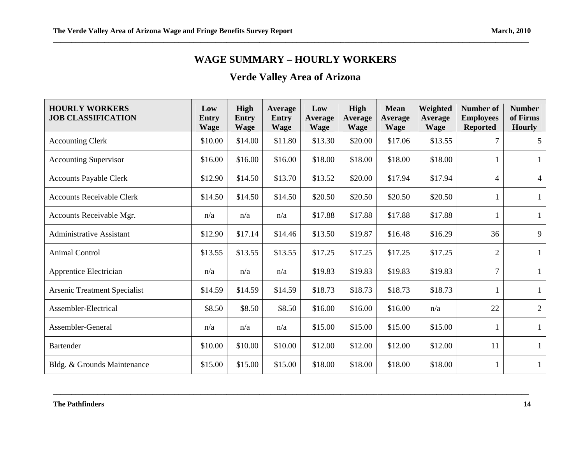# **WAGE SUMMARY – HOURLY WORKERS**

# **Verde Valley Area of Arizona**

| <b>HOURLY WORKERS</b><br><b>JOB CLASSIFICATION</b> | Low<br>Entry<br><b>Wage</b> | High<br><b>Entry</b><br><b>Wage</b> | Average<br><b>Entry</b><br><b>Wage</b> | Low<br><b>Average</b><br><b>Wage</b> | High<br>Average<br><b>Wage</b> | <b>Mean</b><br>Average<br>Wage | Weighted<br>Average<br><b>Wage</b> | <b>Number of</b><br><b>Employees</b><br><b>Reported</b> | <b>Number</b><br>of Firms<br><b>Hourly</b> |
|----------------------------------------------------|-----------------------------|-------------------------------------|----------------------------------------|--------------------------------------|--------------------------------|--------------------------------|------------------------------------|---------------------------------------------------------|--------------------------------------------|
| <b>Accounting Clerk</b>                            | \$10.00                     | \$14.00                             | \$11.80                                | \$13.30                              | \$20.00                        | \$17.06                        | \$13.55                            |                                                         | 5 <sup>5</sup>                             |
| <b>Accounting Supervisor</b>                       | \$16.00                     | \$16.00                             | \$16.00                                | \$18.00                              | \$18.00                        | \$18.00                        | \$18.00                            |                                                         | $\mathbf{1}$                               |
| <b>Accounts Payable Clerk</b>                      | \$12.90                     | \$14.50                             | \$13.70                                | \$13.52                              | \$20.00                        | \$17.94                        | \$17.94                            | 4                                                       | 4                                          |
| <b>Accounts Receivable Clerk</b>                   | \$14.50                     | \$14.50                             | \$14.50                                | \$20.50                              | \$20.50                        | \$20.50                        | \$20.50                            |                                                         | $\mathbf{1}$                               |
| Accounts Receivable Mgr.                           | n/a                         | n/a                                 | n/a                                    | \$17.88                              | \$17.88                        | \$17.88                        | \$17.88                            | 1                                                       | $\mathbf{1}$                               |
| <b>Administrative Assistant</b>                    | \$12.90                     | \$17.14                             | \$14.46                                | \$13.50                              | \$19.87                        | \$16.48                        | \$16.29                            | 36                                                      | 9                                          |
| <b>Animal Control</b>                              | \$13.55                     | \$13.55                             | \$13.55                                | \$17.25                              | \$17.25                        | \$17.25                        | \$17.25                            | $\mathfrak{2}$                                          | $\mathbf{1}$                               |
| Apprentice Electrician                             | n/a                         | n/a                                 | n/a                                    | \$19.83                              | \$19.83                        | \$19.83                        | \$19.83                            | 7                                                       | $\mathbf{1}$                               |
| <b>Arsenic Treatment Specialist</b>                | \$14.59                     | \$14.59                             | \$14.59                                | \$18.73                              | \$18.73                        | \$18.73                        | \$18.73                            | $\mathbf{1}$                                            | $\mathbf{1}$                               |
| Assembler-Electrical                               | \$8.50                      | \$8.50                              | \$8.50                                 | \$16.00                              | \$16.00                        | \$16.00                        | n/a                                | 22                                                      | $\overline{2}$                             |
| Assembler-General                                  | n/a                         | n/a                                 | n/a                                    | \$15.00                              | \$15.00                        | \$15.00                        | \$15.00                            |                                                         | $\mathbf{1}$                               |
| <b>Bartender</b>                                   | \$10.00                     | \$10.00                             | \$10.00                                | \$12.00                              | \$12.00                        | \$12.00                        | \$12.00                            | 11                                                      | $\mathbf{1}$                               |
| Bldg. & Grounds Maintenance                        | \$15.00                     | \$15.00                             | \$15.00                                | \$18.00                              | \$18.00                        | \$18.00                        | \$18.00                            | 1                                                       | $\mathbf{1}$                               |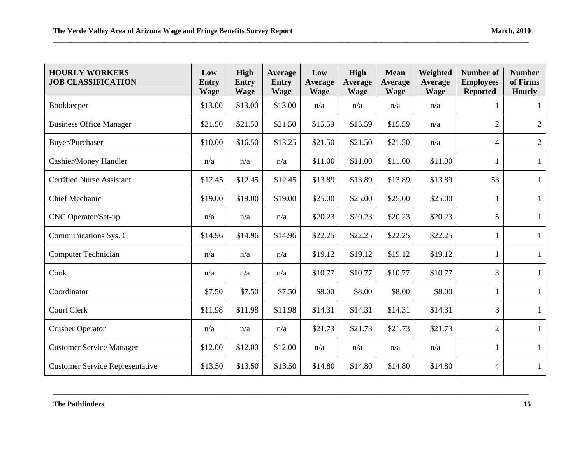| <b>HOURLY WORKERS</b><br><b>JOB CLASSIFICATION</b> | Low<br>Entry<br><b>Wage</b> | <b>High</b><br><b>Entry</b><br><b>Wage</b> | Average<br><b>Entry</b><br><b>Wage</b> | Low<br><b>Average</b><br><b>Wage</b> | High<br>Average<br><b>Wage</b> | <b>Mean</b><br><b>Average</b><br><b>Wage</b> | Weighted<br><b>Average</b><br><b>Wage</b> | <b>Number of</b><br><b>Employees</b><br><b>Reported</b> | <b>Number</b><br>of Firms<br><b>Hourly</b> |
|----------------------------------------------------|-----------------------------|--------------------------------------------|----------------------------------------|--------------------------------------|--------------------------------|----------------------------------------------|-------------------------------------------|---------------------------------------------------------|--------------------------------------------|
| Bookkeeper                                         | \$13.00                     | \$13.00                                    | \$13.00                                | n/a                                  | n/a                            | n/a                                          | n/a                                       |                                                         | $\mathbf{1}$                               |
| <b>Business Office Manager</b>                     | \$21.50                     | \$21.50                                    | \$21.50                                | \$15.59                              | \$15.59                        | \$15.59                                      | n/a                                       | $\overline{2}$                                          | $\overline{2}$                             |
| Buyer/Purchaser                                    | \$10.00                     | \$16.50                                    | \$13.25                                | \$21.50                              | \$21.50                        | \$21.50                                      | n/a                                       | $\overline{4}$                                          | $\overline{2}$                             |
| Cashier/Money Handler                              | n/a                         | n/a                                        | n/a                                    | \$11.00                              | \$11.00                        | \$11.00                                      | \$11.00                                   |                                                         | $\mathbf{1}$                               |
| <b>Certified Nurse Assistant</b>                   | \$12.45                     | \$12.45                                    | \$12.45                                | \$13.89                              | \$13.89                        | \$13.89                                      | \$13.89                                   | 53                                                      | $\mathbf{1}$                               |
| <b>Chief Mechanic</b>                              | \$19.00                     | \$19.00                                    | \$19.00                                | \$25.00                              | \$25.00                        | \$25.00                                      | \$25.00                                   | $\mathbf{1}$                                            | $\mathbf{1}$                               |
| CNC Operator/Set-up                                | n/a                         | n/a                                        | n/a                                    | \$20.23                              | \$20.23                        | \$20.23                                      | \$20.23                                   | 5                                                       | $\mathbf{1}$                               |
| Communications Sys. C                              | \$14.96                     | \$14.96                                    | \$14.96                                | \$22.25                              | \$22.25                        | \$22.25                                      | \$22.25                                   | 1                                                       | $\mathbf{1}$                               |
| <b>Computer Technician</b>                         | n/a                         | n/a                                        | n/a                                    | \$19.12                              | \$19.12                        | \$19.12                                      | \$19.12                                   | $\mathbf{1}$                                            | $\mathbf{1}$                               |
| Cook                                               | n/a                         | n/a                                        | n/a                                    | \$10.77                              | \$10.77                        | \$10.77                                      | \$10.77                                   | 3                                                       | $\mathbf{1}$                               |
| Coordinator                                        | \$7.50                      | \$7.50                                     | \$7.50                                 | \$8.00                               | \$8.00                         | \$8.00                                       | \$8.00                                    | 1                                                       | $\mathbf{1}$                               |
| <b>Court Clerk</b>                                 | \$11.98                     | \$11.98                                    | \$11.98                                | \$14.31                              | \$14.31                        | \$14.31                                      | \$14.31                                   | 3                                                       | $\mathbf{1}$                               |
| <b>Crusher Operator</b>                            | n/a                         | n/a                                        | n/a                                    | \$21.73                              | \$21.73                        | \$21.73                                      | \$21.73                                   | $\overline{2}$                                          | $\mathbf{1}$                               |
| <b>Customer Service Manager</b>                    | \$12.00                     | \$12.00                                    | \$12.00                                | n/a                                  | n/a                            | n/a                                          | n/a                                       | $\mathbf{1}$                                            | $\mathbf{1}$                               |
| <b>Customer Service Representative</b>             | \$13.50                     | \$13.50                                    | \$13.50                                | \$14.80                              | \$14.80                        | \$14.80                                      | \$14.80                                   | 4                                                       | $\mathbf{1}$                               |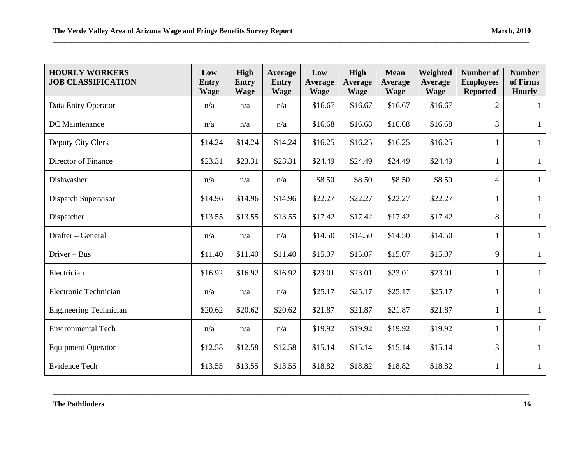| <b>HOURLY WORKERS</b><br><b>JOB CLASSIFICATION</b> | Low<br><b>Entry</b><br><b>Wage</b> | High<br><b>Entry</b><br><b>Wage</b> | Average<br><b>Entry</b><br><b>Wage</b> | Low<br><b>Average</b><br><b>Wage</b> | High<br>Average<br><b>Wage</b> | <b>Mean</b><br><b>Average</b><br><b>Wage</b> | Weighted<br>Average<br><b>Wage</b> | <b>Number of</b><br><b>Employees</b><br><b>Reported</b> | <b>Number</b><br>of Firms<br><b>Hourly</b> |
|----------------------------------------------------|------------------------------------|-------------------------------------|----------------------------------------|--------------------------------------|--------------------------------|----------------------------------------------|------------------------------------|---------------------------------------------------------|--------------------------------------------|
| Data Entry Operator                                | n/a                                | n/a                                 | n/a                                    | \$16.67                              | \$16.67                        | \$16.67                                      | \$16.67                            | $\overline{2}$                                          | 1                                          |
| DC Maintenance                                     | n/a                                | n/a                                 | n/a                                    | \$16.68                              | \$16.68                        | \$16.68                                      | \$16.68                            | 3                                                       | $\mathbf{1}$                               |
| Deputy City Clerk                                  | \$14.24                            | \$14.24                             | \$14.24                                | \$16.25                              | \$16.25                        | \$16.25                                      | \$16.25                            |                                                         | $\mathbf{1}$                               |
| Director of Finance                                | \$23.31                            | \$23.31                             | \$23.31                                | \$24.49                              | \$24.49                        | \$24.49                                      | \$24.49                            |                                                         | $\mathbf{1}$                               |
| Dishwasher                                         | n/a                                | n/a                                 | n/a                                    | \$8.50                               | \$8.50                         | \$8.50                                       | \$8.50                             | 4                                                       | $\mathbf{1}$                               |
| Dispatch Supervisor                                | \$14.96                            | \$14.96                             | \$14.96                                | \$22.27                              | \$22.27                        | \$22.27                                      | \$22.27                            | 1                                                       | 1                                          |
| Dispatcher                                         | \$13.55                            | \$13.55                             | \$13.55                                | \$17.42                              | \$17.42                        | \$17.42                                      | \$17.42                            | 8                                                       | $\mathbf{1}$                               |
| Drafter - General                                  | n/a                                | n/a                                 | n/a                                    | \$14.50                              | \$14.50                        | \$14.50                                      | \$14.50                            | -1                                                      | $\mathbf{1}$                               |
| Driver - Bus                                       | \$11.40                            | \$11.40                             | \$11.40                                | \$15.07                              | \$15.07                        | \$15.07                                      | \$15.07                            | 9                                                       | $\mathbf{1}$                               |
| Electrician                                        | \$16.92                            | \$16.92                             | \$16.92                                | \$23.01                              | \$23.01                        | \$23.01                                      | \$23.01                            | 1                                                       | $\mathbf{1}$                               |
| Electronic Technician                              | n/a                                | n/a                                 | n/a                                    | \$25.17                              | \$25.17                        | \$25.17                                      | \$25.17                            |                                                         | $\mathbf{1}$                               |
| <b>Engineering Technician</b>                      | \$20.62                            | \$20.62                             | \$20.62                                | \$21.87                              | \$21.87                        | \$21.87                                      | \$21.87                            |                                                         | 1                                          |
| <b>Environmental Tech</b>                          | n/a                                | n/a                                 | n/a                                    | \$19.92                              | \$19.92                        | \$19.92                                      | \$19.92                            |                                                         | $\mathbf{1}$                               |
| <b>Equipment Operator</b>                          | \$12.58                            | \$12.58                             | \$12.58                                | \$15.14                              | \$15.14                        | \$15.14                                      | \$15.14                            | 3                                                       | $\mathbf{1}$                               |
| <b>Evidence Tech</b>                               | \$13.55                            | \$13.55                             | \$13.55                                | \$18.82                              | \$18.82                        | \$18.82                                      | \$18.82                            | 1                                                       | $\mathbf{1}$                               |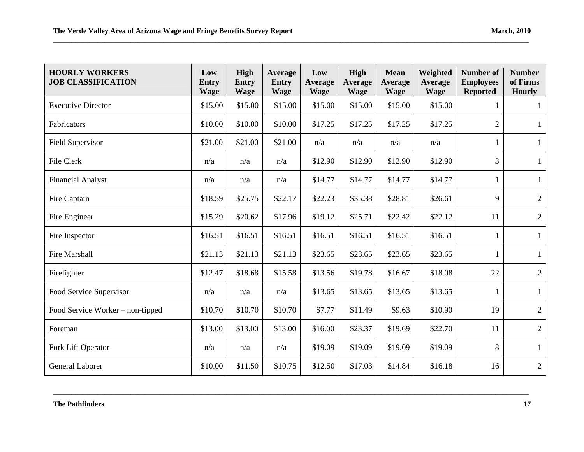| <b>HOURLY WORKERS</b><br><b>JOB CLASSIFICATION</b> | Low<br>Entry<br><b>Wage</b> | High<br><b>Entry</b><br><b>Wage</b> | Average<br><b>Entry</b><br><b>Wage</b> | Low<br><b>Average</b><br><b>Wage</b> | High<br><b>Average</b><br><b>Wage</b> | <b>Mean</b><br><b>Average</b><br><b>Wage</b> | Weighted<br><b>Average</b><br><b>Wage</b> | <b>Number of</b><br><b>Employees</b><br><b>Reported</b> | <b>Number</b><br>of Firms<br><b>Hourly</b> |
|----------------------------------------------------|-----------------------------|-------------------------------------|----------------------------------------|--------------------------------------|---------------------------------------|----------------------------------------------|-------------------------------------------|---------------------------------------------------------|--------------------------------------------|
| <b>Executive Director</b>                          | \$15.00                     | \$15.00                             | \$15.00                                | \$15.00                              | \$15.00                               | \$15.00                                      | \$15.00                                   |                                                         | 1                                          |
| Fabricators                                        | \$10.00                     | \$10.00                             | \$10.00                                | \$17.25                              | \$17.25                               | \$17.25                                      | \$17.25                                   | $\overline{2}$                                          | $\mathbf{1}$                               |
| <b>Field Supervisor</b>                            | \$21.00                     | \$21.00                             | \$21.00                                | n/a                                  | n/a                                   | n/a                                          | n/a                                       | 1                                                       | $\mathbf{1}$                               |
| File Clerk                                         | n/a                         | n/a                                 | n/a                                    | \$12.90                              | \$12.90                               | \$12.90                                      | \$12.90                                   | 3                                                       | $\mathbf{1}$                               |
| <b>Financial Analyst</b>                           | n/a                         | n/a                                 | n/a                                    | \$14.77                              | \$14.77                               | \$14.77                                      | \$14.77                                   | $\mathbf{1}$                                            | $\mathbf{1}$                               |
| Fire Captain                                       | \$18.59                     | \$25.75                             | \$22.17                                | \$22.23                              | \$35.38                               | \$28.81                                      | \$26.61                                   | 9                                                       | $\overline{2}$                             |
| Fire Engineer                                      | \$15.29                     | \$20.62                             | \$17.96                                | \$19.12                              | \$25.71                               | \$22.42                                      | \$22.12                                   | 11                                                      | $\overline{2}$                             |
| Fire Inspector                                     | \$16.51                     | \$16.51                             | \$16.51                                | \$16.51                              | \$16.51                               | \$16.51                                      | \$16.51                                   | 1                                                       | $\mathbf{1}$                               |
| Fire Marshall                                      | \$21.13                     | \$21.13                             | \$21.13                                | \$23.65                              | \$23.65                               | \$23.65                                      | \$23.65                                   | $\mathbf{1}$                                            | $\mathbf{1}$                               |
| Firefighter                                        | \$12.47                     | \$18.68                             | \$15.58                                | \$13.56                              | \$19.78                               | \$16.67                                      | \$18.08                                   | $22\,$                                                  | $\overline{2}$                             |
| Food Service Supervisor                            | n/a                         | n/a                                 | n/a                                    | \$13.65                              | \$13.65                               | \$13.65                                      | \$13.65                                   | 1                                                       | $\mathbf{1}$                               |
| Food Service Worker – non-tipped                   | \$10.70                     | \$10.70                             | \$10.70                                | \$7.77                               | \$11.49                               | \$9.63                                       | \$10.90                                   | 19                                                      | $\overline{2}$                             |
| Foreman                                            | \$13.00                     | \$13.00                             | \$13.00                                | \$16.00                              | \$23.37                               | \$19.69                                      | \$22.70                                   | 11                                                      | $\overline{2}$                             |
| Fork Lift Operator                                 | n/a                         | n/a                                 | n/a                                    | \$19.09                              | \$19.09                               | \$19.09                                      | \$19.09                                   | 8                                                       | $\mathbf{1}$                               |
| General Laborer                                    | \$10.00                     | \$11.50                             | \$10.75                                | \$12.50                              | \$17.03                               | \$14.84                                      | \$16.18                                   | 16                                                      | $\overline{2}$                             |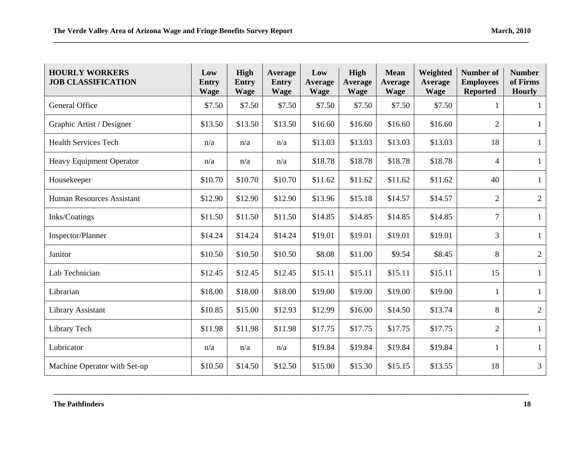| <b>HOURLY WORKERS</b><br><b>JOB CLASSIFICATION</b> | Low<br>Entry<br><b>Wage</b> | <b>High</b><br><b>Entry</b><br><b>Wage</b> | Average<br><b>Entry</b><br><b>Wage</b> | Low<br><b>Average</b><br><b>Wage</b> | High<br><b>Average</b><br><b>Wage</b> | <b>Mean</b><br><b>Average</b><br><b>Wage</b> | Weighted<br>Average<br><b>Wage</b> | <b>Number of</b><br><b>Employees</b><br><b>Reported</b> | <b>Number</b><br>of Firms<br><b>Hourly</b> |
|----------------------------------------------------|-----------------------------|--------------------------------------------|----------------------------------------|--------------------------------------|---------------------------------------|----------------------------------------------|------------------------------------|---------------------------------------------------------|--------------------------------------------|
| General Office                                     | \$7.50                      | \$7.50                                     | \$7.50                                 | \$7.50                               | \$7.50                                | \$7.50                                       | \$7.50                             |                                                         | $\mathbf{1}$                               |
| Graphic Artist / Designer                          | \$13.50                     | \$13.50                                    | \$13.50                                | \$16.60                              | \$16.60                               | \$16.60                                      | \$16.60                            | $\overline{2}$                                          | $\mathbf{1}$                               |
| <b>Health Services Tech</b>                        | n/a                         | n/a                                        | n/a                                    | \$13.03                              | \$13.03                               | \$13.03                                      | \$13.03                            | 18                                                      | $\mathbf{1}$                               |
| Heavy Equipment Operator                           | n/a                         | n/a                                        | n/a                                    | \$18.78                              | \$18.78                               | \$18.78                                      | \$18.78                            | 4                                                       | $\mathbf{1}$                               |
| Housekeeper                                        | \$10.70                     | \$10.70                                    | \$10.70                                | \$11.62                              | \$11.62                               | \$11.62                                      | \$11.62                            | 40                                                      | $\mathbf{1}$                               |
| Human Resources Assistant                          | \$12.90                     | \$12.90                                    | \$12.90                                | \$13.96                              | \$15.18                               | \$14.57                                      | \$14.57                            | $\overline{2}$                                          | $\overline{2}$                             |
| Inks/Coatings                                      | \$11.50                     | \$11.50                                    | \$11.50                                | \$14.85                              | \$14.85                               | \$14.85                                      | \$14.85                            | $\overline{7}$                                          | $\mathbf{1}$                               |
| Inspector/Planner                                  | \$14.24                     | \$14.24                                    | \$14.24                                | \$19.01                              | \$19.01                               | \$19.01                                      | \$19.01                            | 3                                                       | $\mathbf{1}$                               |
| Janitor                                            | \$10.50                     | \$10.50                                    | \$10.50                                | \$8.08                               | \$11.00                               | \$9.54                                       | \$8.45                             | 8                                                       | $\overline{2}$                             |
| Lab Technician                                     | \$12.45                     | \$12.45                                    | \$12.45                                | \$15.11                              | \$15.11                               | \$15.11                                      | \$15.11                            | 15                                                      | $\mathbf{1}$                               |
| Librarian                                          | \$18.00                     | \$18.00                                    | \$18.00                                | \$19.00                              | \$19.00                               | \$19.00                                      | \$19.00                            | 1                                                       | $\mathbf{1}$                               |
| Library Assistant                                  | \$10.85                     | \$15.00                                    | \$12.93                                | \$12.99                              | \$16.00                               | \$14.50                                      | \$13.74                            | 8                                                       | $\overline{2}$                             |
| Library Tech                                       | \$11.98                     | \$11.98                                    | \$11.98                                | \$17.75                              | \$17.75                               | \$17.75                                      | \$17.75                            | $\overline{2}$                                          | $\mathbf{1}$                               |
| Lubricator                                         | n/a                         | n/a                                        | n/a                                    | \$19.84                              | \$19.84                               | \$19.84                                      | \$19.84                            | 1                                                       | $\mathbf{1}$                               |
| Machine Operator with Set-up                       | \$10.50                     | \$14.50                                    | \$12.50                                | \$15.00                              | \$15.30                               | \$15.15                                      | \$13.55                            | 18                                                      | $\overline{3}$                             |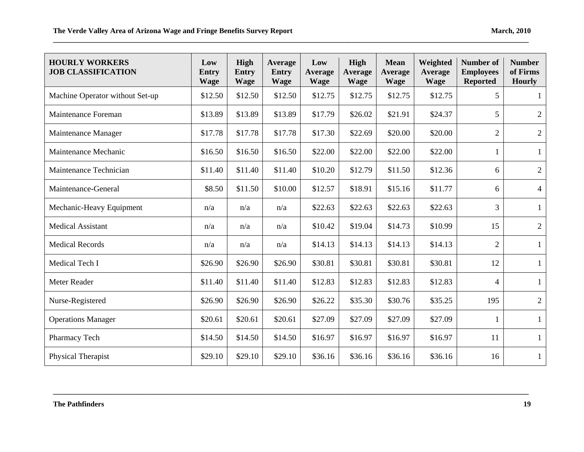| <b>HOURLY WORKERS</b><br><b>JOB CLASSIFICATION</b> | Low<br><b>Entry</b><br><b>Wage</b> | High<br><b>Entry</b><br><b>Wage</b> | Average<br><b>Entry</b><br><b>Wage</b> | Low<br><b>Average</b><br><b>Wage</b> | High<br><b>Average</b><br><b>Wage</b> | <b>Mean</b><br><b>Average</b><br><b>Wage</b> | Weighted<br>Average<br><b>Wage</b> | <b>Number of</b><br><b>Employees</b><br><b>Reported</b> | <b>Number</b><br>of Firms<br><b>Hourly</b> |
|----------------------------------------------------|------------------------------------|-------------------------------------|----------------------------------------|--------------------------------------|---------------------------------------|----------------------------------------------|------------------------------------|---------------------------------------------------------|--------------------------------------------|
| Machine Operator without Set-up                    | \$12.50                            | \$12.50                             | \$12.50                                | \$12.75                              | \$12.75                               | \$12.75                                      | \$12.75                            | 5                                                       | -1                                         |
| Maintenance Foreman                                | \$13.89                            | \$13.89                             | \$13.89                                | \$17.79                              | \$26.02                               | \$21.91                                      | \$24.37                            | 5                                                       | $\overline{2}$                             |
| Maintenance Manager                                | \$17.78                            | \$17.78                             | \$17.78                                | \$17.30                              | \$22.69                               | \$20.00                                      | \$20.00                            | $\overline{2}$                                          | $\overline{2}$                             |
| Maintenance Mechanic                               | \$16.50                            | \$16.50                             | \$16.50                                | \$22.00                              | \$22.00                               | \$22.00                                      | \$22.00                            | $\mathbf{1}$                                            | $\mathbf{1}$                               |
| Maintenance Technician                             | \$11.40                            | \$11.40                             | \$11.40                                | \$10.20                              | \$12.79                               | \$11.50                                      | \$12.36                            | 6                                                       | $\overline{2}$                             |
| Maintenance-General                                | \$8.50                             | \$11.50                             | \$10.00                                | \$12.57                              | \$18.91                               | \$15.16                                      | \$11.77                            | 6                                                       | $\overline{4}$                             |
| Mechanic-Heavy Equipment                           | n/a                                | n/a                                 | n/a                                    | \$22.63                              | \$22.63                               | \$22.63                                      | \$22.63                            | 3                                                       | $\mathbf{1}$                               |
| <b>Medical Assistant</b>                           | n/a                                | n/a                                 | n/a                                    | \$10.42                              | \$19.04                               | \$14.73                                      | \$10.99                            | 15                                                      | $\overline{2}$                             |
| <b>Medical Records</b>                             | n/a                                | n/a                                 | n/a                                    | \$14.13                              | \$14.13                               | \$14.13                                      | \$14.13                            | $\mathbf{2}$                                            | $\mathbf{1}$                               |
| Medical Tech I                                     | \$26.90                            | \$26.90                             | \$26.90                                | \$30.81                              | \$30.81                               | \$30.81                                      | \$30.81                            | 12                                                      | $\mathbf{1}$                               |
| Meter Reader                                       | \$11.40                            | \$11.40                             | \$11.40                                | \$12.83                              | \$12.83                               | \$12.83                                      | \$12.83                            | 4                                                       | $\mathbf{1}$                               |
| Nurse-Registered                                   | \$26.90                            | \$26.90                             | \$26.90                                | \$26.22                              | \$35.30                               | \$30.76                                      | \$35.25                            | 195                                                     | $\overline{2}$                             |
| <b>Operations Manager</b>                          | \$20.61                            | \$20.61                             | \$20.61                                | \$27.09                              | \$27.09                               | \$27.09                                      | \$27.09                            | $\mathbf{1}$                                            | $\mathbf{1}$                               |
| Pharmacy Tech                                      | \$14.50                            | \$14.50                             | \$14.50                                | \$16.97                              | \$16.97                               | \$16.97                                      | \$16.97                            | 11                                                      | $\mathbf{1}$                               |
| Physical Therapist                                 | \$29.10                            | \$29.10                             | \$29.10                                | \$36.16                              | \$36.16                               | \$36.16                                      | \$36.16                            | 16                                                      | $\mathbf{1}$                               |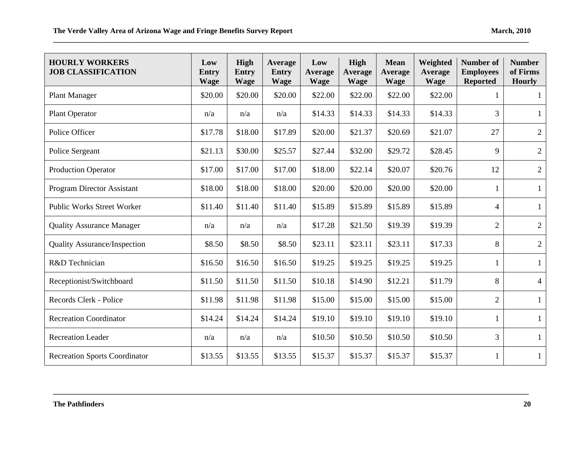| <b>HOURLY WORKERS</b><br><b>JOB CLASSIFICATION</b> | Low<br>Entry<br><b>Wage</b> | <b>High</b><br><b>Entry</b><br><b>Wage</b> | <b>Average</b><br><b>Entry</b><br><b>Wage</b> | Low<br><b>Average</b><br><b>Wage</b> | High<br><b>Average</b><br><b>Wage</b> | <b>Mean</b><br><b>Average</b><br><b>Wage</b> | Weighted<br>Average<br><b>Wage</b> | <b>Number</b> of<br><b>Employees</b><br><b>Reported</b> | <b>Number</b><br>of Firms<br><b>Hourly</b> |
|----------------------------------------------------|-----------------------------|--------------------------------------------|-----------------------------------------------|--------------------------------------|---------------------------------------|----------------------------------------------|------------------------------------|---------------------------------------------------------|--------------------------------------------|
| <b>Plant Manager</b>                               | \$20.00                     | \$20.00                                    | \$20.00                                       | \$22.00                              | \$22.00                               | \$22.00                                      | \$22.00                            |                                                         | 1                                          |
| <b>Plant Operator</b>                              | n/a                         | n/a                                        | n/a                                           | \$14.33                              | \$14.33                               | \$14.33                                      | \$14.33                            | 3                                                       | 1                                          |
| Police Officer                                     | \$17.78                     | \$18.00                                    | \$17.89                                       | \$20.00                              | \$21.37                               | \$20.69                                      | \$21.07                            | 27                                                      | $\overline{2}$                             |
| Police Sergeant                                    | \$21.13                     | \$30.00                                    | \$25.57                                       | \$27.44                              | \$32.00                               | \$29.72                                      | \$28.45                            | 9                                                       | $\sqrt{2}$                                 |
| <b>Production Operator</b>                         | \$17.00                     | \$17.00                                    | \$17.00                                       | \$18.00                              | \$22.14                               | \$20.07                                      | \$20.76                            | 12                                                      | $\overline{2}$                             |
| Program Director Assistant                         | \$18.00                     | \$18.00                                    | \$18.00                                       | \$20.00                              | \$20.00                               | \$20.00                                      | \$20.00                            | 1                                                       | $\mathbf{1}$                               |
| <b>Public Works Street Worker</b>                  | \$11.40                     | \$11.40                                    | \$11.40                                       | \$15.89                              | \$15.89                               | \$15.89                                      | \$15.89                            | $\overline{4}$                                          | $\mathbf{1}$                               |
| <b>Quality Assurance Manager</b>                   | n/a                         | n/a                                        | n/a                                           | \$17.28                              | \$21.50                               | \$19.39                                      | \$19.39                            | $\overline{2}$                                          | $\overline{2}$                             |
| <b>Quality Assurance/Inspection</b>                | \$8.50                      | \$8.50                                     | \$8.50                                        | \$23.11                              | \$23.11                               | \$23.11                                      | \$17.33                            | 8                                                       | $\sqrt{2}$                                 |
| R&D Technician                                     | \$16.50                     | \$16.50                                    | \$16.50                                       | \$19.25                              | \$19.25                               | \$19.25                                      | \$19.25                            | 1                                                       | 1                                          |
| Receptionist/Switchboard                           | \$11.50                     | \$11.50                                    | \$11.50                                       | \$10.18                              | \$14.90                               | \$12.21                                      | \$11.79                            | 8                                                       | $\overline{4}$                             |
| Records Clerk - Police                             | \$11.98                     | \$11.98                                    | \$11.98                                       | \$15.00                              | \$15.00                               | \$15.00                                      | \$15.00                            | $\overline{2}$                                          | $\mathbf{1}$                               |
| <b>Recreation Coordinator</b>                      | \$14.24                     | \$14.24                                    | \$14.24                                       | \$19.10                              | \$19.10                               | \$19.10                                      | \$19.10                            |                                                         | $\mathbf{1}$                               |
| <b>Recreation Leader</b>                           | n/a                         | n/a                                        | n/a                                           | \$10.50                              | \$10.50                               | \$10.50                                      | \$10.50                            | 3                                                       | $\mathbf{1}$                               |
| <b>Recreation Sports Coordinator</b>               | \$13.55                     | \$13.55                                    | \$13.55                                       | \$15.37                              | \$15.37                               | \$15.37                                      | \$15.37                            |                                                         |                                            |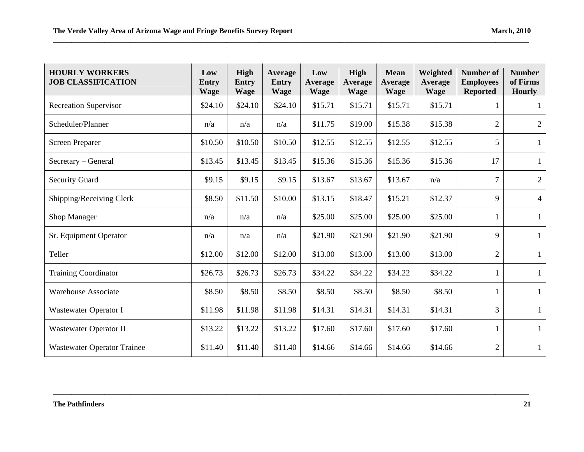| <b>HOURLY WORKERS</b><br><b>JOB CLASSIFICATION</b> | Low<br>Entry<br><b>Wage</b> | <b>High</b><br><b>Entry</b><br><b>Wage</b> | Average<br><b>Entry</b><br><b>Wage</b> | Low<br><b>Average</b><br><b>Wage</b> | <b>High</b><br><b>Average</b><br><b>Wage</b> | <b>Mean</b><br><b>Average</b><br><b>Wage</b> | Weighted<br>Average<br><b>Wage</b> | <b>Number of</b><br><b>Employees</b><br><b>Reported</b> | <b>Number</b><br>of Firms<br><b>Hourly</b> |
|----------------------------------------------------|-----------------------------|--------------------------------------------|----------------------------------------|--------------------------------------|----------------------------------------------|----------------------------------------------|------------------------------------|---------------------------------------------------------|--------------------------------------------|
| <b>Recreation Supervisor</b>                       | \$24.10                     | \$24.10                                    | \$24.10                                | \$15.71                              | \$15.71                                      | \$15.71                                      | \$15.71                            | 1                                                       | 1                                          |
| Scheduler/Planner                                  | n/a                         | n/a                                        | n/a                                    | \$11.75                              | \$19.00                                      | \$15.38                                      | \$15.38                            | $\overline{2}$                                          | $\overline{2}$                             |
| <b>Screen Preparer</b>                             | \$10.50                     | \$10.50                                    | \$10.50                                | \$12.55                              | \$12.55                                      | \$12.55                                      | \$12.55                            | 5                                                       | $\mathbf{1}$                               |
| Secretary – General                                | \$13.45                     | \$13.45                                    | \$13.45                                | \$15.36                              | \$15.36                                      | \$15.36                                      | \$15.36                            | 17                                                      | $\mathbf{1}$                               |
| <b>Security Guard</b>                              | \$9.15                      | \$9.15                                     | \$9.15                                 | \$13.67                              | \$13.67                                      | \$13.67                                      | n/a                                | $\overline{7}$                                          | $\overline{2}$                             |
| Shipping/Receiving Clerk                           | \$8.50                      | \$11.50                                    | \$10.00                                | \$13.15                              | \$18.47                                      | \$15.21                                      | \$12.37                            | 9                                                       | $\overline{4}$                             |
| Shop Manager                                       | n/a                         | n/a                                        | n/a                                    | \$25.00                              | \$25.00                                      | \$25.00                                      | \$25.00                            | 1                                                       | 1                                          |
| Sr. Equipment Operator                             | n/a                         | n/a                                        | n/a                                    | \$21.90                              | \$21.90                                      | \$21.90                                      | \$21.90                            | 9                                                       | $\mathbf{1}$                               |
| Teller                                             | \$12.00                     | \$12.00                                    | \$12.00                                | \$13.00                              | \$13.00                                      | \$13.00                                      | \$13.00                            | $\overline{2}$                                          | $\mathbf{1}$                               |
| <b>Training Coordinator</b>                        | \$26.73                     | \$26.73                                    | \$26.73                                | \$34.22                              | \$34.22                                      | \$34.22                                      | \$34.22                            |                                                         | $\mathbf{1}$                               |
| <b>Warehouse Associate</b>                         | \$8.50                      | \$8.50                                     | \$8.50                                 | \$8.50                               | \$8.50                                       | \$8.50                                       | \$8.50                             | 1                                                       | $\mathbf{1}$                               |
| Wastewater Operator I                              | \$11.98                     | \$11.98                                    | \$11.98                                | \$14.31                              | \$14.31                                      | \$14.31                                      | \$14.31                            | 3                                                       | $\mathbf{1}$                               |
| Wastewater Operator II                             | \$13.22                     | \$13.22                                    | \$13.22                                | \$17.60                              | \$17.60                                      | \$17.60                                      | \$17.60                            |                                                         | $\mathbf{1}$                               |
| <b>Wastewater Operator Trainee</b>                 | \$11.40                     | \$11.40                                    | \$11.40                                | \$14.66                              | \$14.66                                      | \$14.66                                      | \$14.66                            | $\overline{2}$                                          | $\mathbf{1}$                               |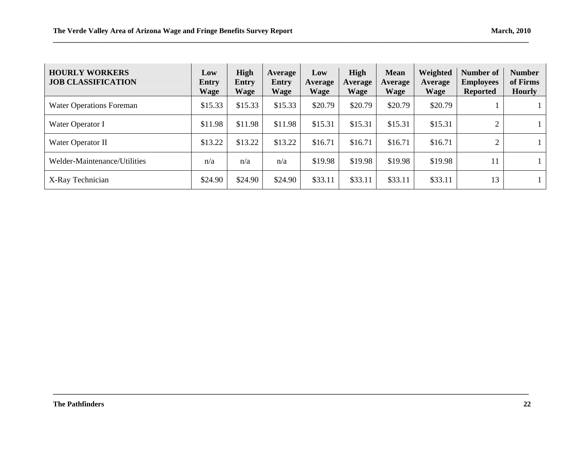| <b>HOURLY WORKERS</b><br><b>JOB CLASSIFICATION</b> | Low<br>Entry<br><b>Wage</b> | <b>High</b><br>Entry<br>Wage | Average<br><b>Entry</b><br><b>Wage</b> | Low<br>Average<br><b>Wage</b> | High<br>Average<br><b>Wage</b> | <b>Mean</b><br>Average<br><b>Wage</b> | Weighted<br>Average<br><b>Wage</b> | Number of<br><b>Employees</b><br><b>Reported</b> | <b>Number</b><br>of Firms<br><b>Hourly</b> |
|----------------------------------------------------|-----------------------------|------------------------------|----------------------------------------|-------------------------------|--------------------------------|---------------------------------------|------------------------------------|--------------------------------------------------|--------------------------------------------|
| <b>Water Operations Foreman</b>                    | \$15.33                     | \$15.33                      | \$15.33                                | \$20.79                       | \$20.79                        | \$20.79                               | \$20.79                            |                                                  |                                            |
| Water Operator I                                   | \$11.98                     | \$11.98                      | \$11.98                                | \$15.31                       | \$15.31                        | \$15.31                               | \$15.31                            | 2                                                | $\mathbf{1}$                               |
| Water Operator II                                  | \$13.22                     | \$13.22                      | \$13.22                                | \$16.71                       | \$16.71                        | \$16.71                               | \$16.71                            | $\overline{2}$                                   | $\perp$                                    |
| Welder-Maintenance/Utilities                       | n/a                         | n/a                          | n/a                                    | \$19.98                       | \$19.98                        | \$19.98                               | \$19.98                            | 11                                               |                                            |
| X-Ray Technician                                   | \$24.90                     | \$24.90                      | \$24.90                                | \$33.11                       | \$33.11                        | \$33.11                               | \$33.11                            | 13                                               |                                            |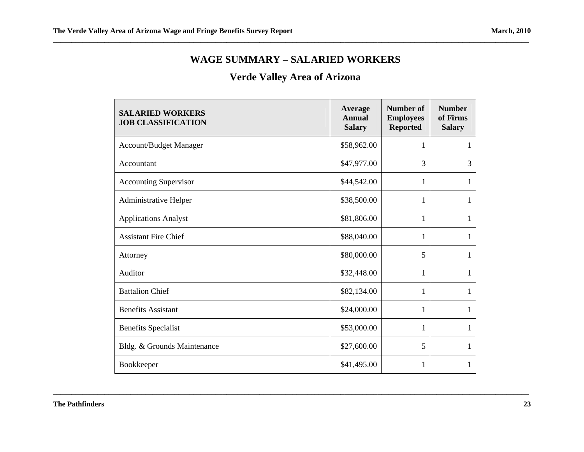#### **WAGE SUMMARY – SALARIED WORKERS**

# **Verde Valley Area of Arizona**

| <b>SALARIED WORKERS</b><br><b>JOB CLASSIFICATION</b> | Average<br><b>Annual</b><br><b>Salary</b> | <b>Number of</b><br><b>Employees</b><br><b>Reported</b> | <b>Number</b><br>of Firms<br><b>Salary</b> |
|------------------------------------------------------|-------------------------------------------|---------------------------------------------------------|--------------------------------------------|
| <b>Account/Budget Manager</b>                        | \$58,962.00                               | 1                                                       | 1                                          |
| Accountant                                           | \$47,977.00                               | 3                                                       | 3                                          |
| <b>Accounting Supervisor</b>                         | \$44,542.00                               | 1                                                       | 1                                          |
| Administrative Helper                                | \$38,500.00                               | 1                                                       | 1                                          |
| <b>Applications Analyst</b>                          | \$81,806.00                               | 1                                                       | 1                                          |
| <b>Assistant Fire Chief</b>                          | \$88,040.00                               | 1                                                       | 1                                          |
| Attorney                                             | \$80,000.00                               | 5                                                       | 1                                          |
| Auditor                                              | \$32,448.00                               | 1                                                       | 1                                          |
| <b>Battalion Chief</b>                               | \$82,134.00                               | 1                                                       | 1                                          |
| <b>Benefits Assistant</b>                            | \$24,000.00                               | 1                                                       | 1                                          |
| <b>Benefits Specialist</b>                           | \$53,000.00                               | 1                                                       | 1                                          |
| Bldg. & Grounds Maintenance                          | \$27,600.00                               | 5                                                       | 1                                          |
| Bookkeeper                                           | \$41,495.00                               | 1                                                       | 1                                          |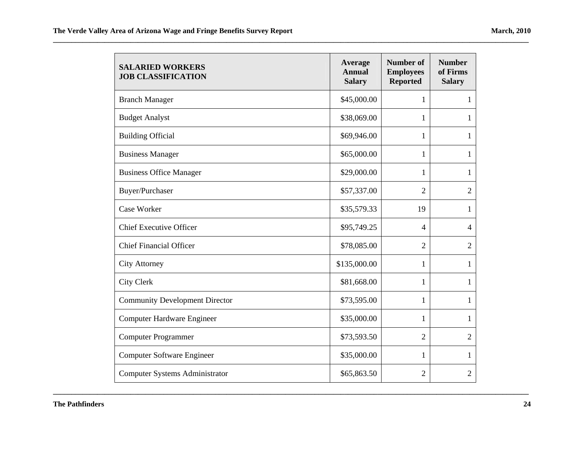| <b>SALARIED WORKERS</b><br><b>JOB CLASSIFICATION</b> | Average<br><b>Annual</b><br><b>Salary</b> | <b>Number of</b><br><b>Employees</b><br><b>Reported</b> | <b>Number</b><br>of Firms<br><b>Salary</b> |
|------------------------------------------------------|-------------------------------------------|---------------------------------------------------------|--------------------------------------------|
| <b>Branch Manager</b>                                | \$45,000.00                               | 1                                                       | $\mathbf{1}$                               |
| <b>Budget Analyst</b>                                | \$38,069.00                               | 1                                                       | 1                                          |
| <b>Building Official</b>                             | \$69,946.00                               | 1                                                       | 1                                          |
| <b>Business Manager</b>                              | \$65,000.00                               | 1                                                       | 1                                          |
| <b>Business Office Manager</b>                       | \$29,000.00                               | 1                                                       | 1                                          |
| Buyer/Purchaser                                      | \$57,337.00                               | 2                                                       | $\overline{2}$                             |
| Case Worker                                          | \$35,579.33                               | 19                                                      | $\mathbf{1}$                               |
| <b>Chief Executive Officer</b>                       | \$95,749.25                               | $\overline{4}$                                          | $\overline{4}$                             |
| <b>Chief Financial Officer</b>                       | \$78,085.00                               | $\overline{2}$                                          | $\overline{2}$                             |
| <b>City Attorney</b>                                 | \$135,000.00                              | 1                                                       | $\mathbf{1}$                               |
| <b>City Clerk</b>                                    | \$81,668.00                               | 1                                                       | 1                                          |
| <b>Community Development Director</b>                | \$73,595.00                               | 1                                                       | $\mathbf{1}$                               |
| <b>Computer Hardware Engineer</b>                    | \$35,000.00                               | 1                                                       | 1                                          |
| <b>Computer Programmer</b>                           | \$73,593.50                               | $\overline{2}$                                          | $\overline{2}$                             |
| <b>Computer Software Engineer</b>                    | \$35,000.00                               | 1                                                       | $\mathbf{1}$                               |
| <b>Computer Systems Administrator</b>                | \$65,863.50                               | 2                                                       | $\overline{2}$                             |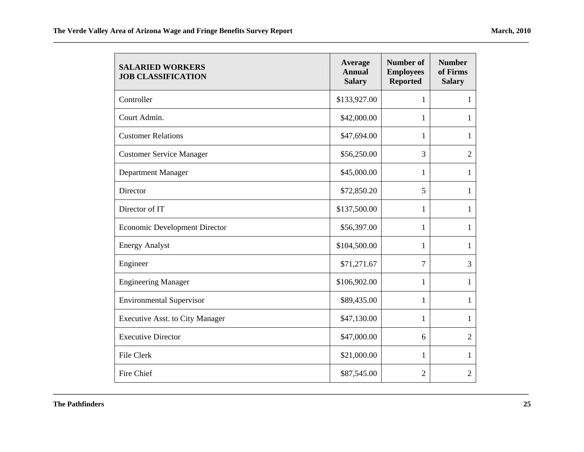| <b>SALARIED WORKERS</b><br><b>JOB CLASSIFICATION</b> | Average<br><b>Annual</b><br><b>Salary</b> | <b>Number of</b><br><b>Employees</b><br><b>Reported</b> | <b>Number</b><br>of Firms<br><b>Salary</b> |
|------------------------------------------------------|-------------------------------------------|---------------------------------------------------------|--------------------------------------------|
| Controller                                           | \$133,927.00                              | 1                                                       | 1                                          |
| Court Admin.                                         | \$42,000.00                               | 1                                                       | 1                                          |
| <b>Customer Relations</b>                            | \$47,694.00                               | 1                                                       | 1                                          |
| <b>Customer Service Manager</b>                      | \$56,250.00                               | 3                                                       | 2                                          |
| Department Manager                                   | \$45,000.00                               | 1                                                       | 1                                          |
| Director                                             | \$72,850.20                               | 5                                                       | 1                                          |
| Director of IT                                       | \$137,500.00                              | 1                                                       | 1                                          |
| <b>Economic Development Director</b>                 | \$56,397.00                               | 1                                                       | 1                                          |
| <b>Energy Analyst</b>                                | \$104,500.00                              | 1                                                       | 1                                          |
| Engineer                                             | \$71,271.67                               | 7                                                       | 3                                          |
| <b>Engineering Manager</b>                           | \$106,902.00                              | 1                                                       | 1                                          |
| <b>Environmental Supervisor</b>                      | \$89,435.00                               | $\mathbf 1$                                             | 1                                          |
| <b>Executive Asst. to City Manager</b>               | \$47,130.00                               | 1                                                       | 1                                          |
| <b>Executive Director</b>                            | \$47,000.00                               | 6                                                       | $\overline{2}$                             |
| File Clerk                                           | \$21,000.00                               | 1                                                       | 1                                          |
| Fire Chief                                           | \$87,545.00                               | 2                                                       | $\overline{2}$                             |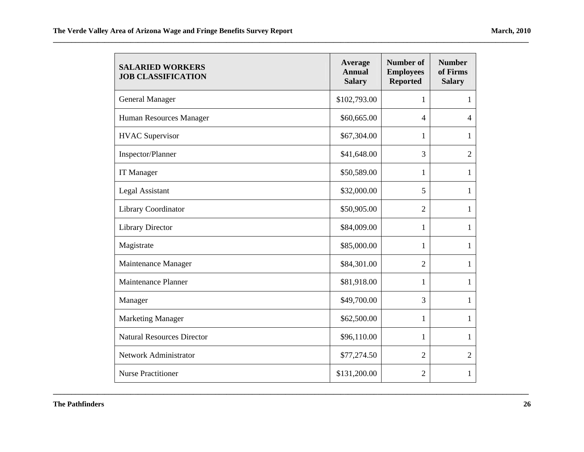| <b>SALARIED WORKERS</b><br><b>JOB CLASSIFICATION</b> | Average<br><b>Annual</b><br><b>Salary</b> | <b>Number of</b><br><b>Employees</b><br><b>Reported</b> | <b>Number</b><br>of Firms<br><b>Salary</b> |
|------------------------------------------------------|-------------------------------------------|---------------------------------------------------------|--------------------------------------------|
| <b>General Manager</b>                               | \$102,793.00                              | $\mathbf{1}$                                            | $\mathbf{1}$                               |
| Human Resources Manager                              | \$60,665.00                               | $\overline{4}$                                          | $\overline{4}$                             |
| <b>HVAC</b> Supervisor                               | \$67,304.00                               | 1                                                       | 1                                          |
| Inspector/Planner                                    | \$41,648.00                               | 3                                                       | $\overline{2}$                             |
| <b>IT Manager</b>                                    | \$50,589.00                               | 1                                                       | $\mathbf{1}$                               |
| <b>Legal Assistant</b>                               | \$32,000.00                               | 5                                                       | $\mathbf{1}$                               |
| Library Coordinator                                  | \$50,905.00                               | $\overline{2}$                                          | 1                                          |
| <b>Library Director</b>                              | \$84,009.00                               | 1                                                       | $\mathbf{1}$                               |
| Magistrate                                           | \$85,000.00                               | $\mathbf{1}$                                            | $\mathbf{1}$                               |
| Maintenance Manager                                  | \$84,301.00                               | $\overline{2}$                                          | $\mathbf{1}$                               |
| <b>Maintenance Planner</b>                           | \$81,918.00                               | 1                                                       | 1                                          |
| Manager                                              | \$49,700.00                               | 3                                                       | $\mathbf{1}$                               |
| <b>Marketing Manager</b>                             | \$62,500.00                               | 1                                                       | $\mathbf{1}$                               |
| <b>Natural Resources Director</b>                    | \$96,110.00                               | 1                                                       | $\mathbf{1}$                               |
| Network Administrator                                | \$77,274.50                               | $\overline{2}$                                          | $\overline{2}$                             |
| <b>Nurse Practitioner</b>                            | \$131,200.00                              | 2                                                       | $\mathbf{1}$                               |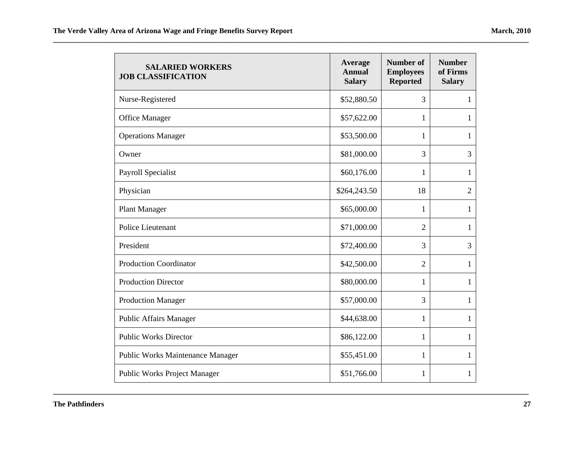| <b>SALARIED WORKERS</b><br><b>JOB CLASSIFICATION</b> | Average<br><b>Annual</b><br><b>Salary</b> | <b>Number of</b><br><b>Employees</b><br><b>Reported</b> | <b>Number</b><br>of Firms<br><b>Salary</b> |
|------------------------------------------------------|-------------------------------------------|---------------------------------------------------------|--------------------------------------------|
| Nurse-Registered                                     | \$52,880.50                               | 3                                                       | 1                                          |
| Office Manager                                       | \$57,622.00                               | 1                                                       | 1                                          |
| <b>Operations Manager</b>                            | \$53,500.00                               | 1                                                       | 1                                          |
| Owner                                                | \$81,000.00                               | 3                                                       | 3                                          |
| Payroll Specialist                                   | \$60,176.00                               | 1                                                       | 1                                          |
| Physician                                            | \$264,243.50                              | 18                                                      | $\overline{2}$                             |
| <b>Plant Manager</b>                                 | \$65,000.00                               | 1                                                       | 1                                          |
| Police Lieutenant                                    | \$71,000.00                               | $\overline{2}$                                          | 1                                          |
| President                                            | \$72,400.00                               | 3                                                       | 3                                          |
| <b>Production Coordinator</b>                        | \$42,500.00                               | $\overline{2}$                                          | 1                                          |
| <b>Production Director</b>                           | \$80,000.00                               | 1                                                       | 1                                          |
| <b>Production Manager</b>                            | \$57,000.00                               | 3                                                       | 1                                          |
| <b>Public Affairs Manager</b>                        | \$44,638.00                               | 1                                                       | 1                                          |
| <b>Public Works Director</b>                         | \$86,122.00                               | 1                                                       | 1                                          |
| <b>Public Works Maintenance Manager</b>              | \$55,451.00                               | 1                                                       | 1                                          |
| <b>Public Works Project Manager</b>                  | \$51,766.00                               | 1                                                       | 1                                          |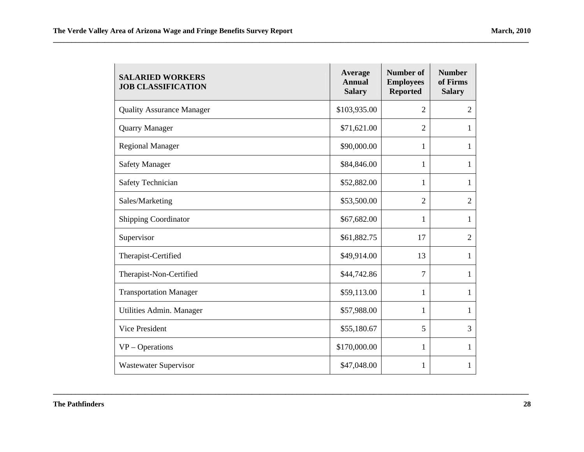| <b>SALARIED WORKERS</b><br><b>JOB CLASSIFICATION</b> | Average<br><b>Annual</b><br><b>Salary</b> | <b>Number of</b><br><b>Employees</b><br><b>Reported</b> | <b>Number</b><br>of Firms<br><b>Salary</b> |
|------------------------------------------------------|-------------------------------------------|---------------------------------------------------------|--------------------------------------------|
| <b>Quality Assurance Manager</b>                     | \$103,935.00                              | $\overline{2}$                                          | $\overline{2}$                             |
| <b>Quarry Manager</b>                                | \$71,621.00                               | $\overline{2}$                                          | 1                                          |
| <b>Regional Manager</b>                              | \$90,000.00                               | 1                                                       | $\mathbf{1}$                               |
| <b>Safety Manager</b>                                | \$84,846.00                               | 1                                                       | $\mathbf{1}$                               |
| Safety Technician                                    | \$52,882.00                               | 1                                                       | $\mathbf{1}$                               |
| Sales/Marketing                                      | \$53,500.00                               | $\overline{2}$                                          | $\overline{2}$                             |
| <b>Shipping Coordinator</b>                          | \$67,682.00                               | 1                                                       | $\mathbf{1}$                               |
| Supervisor                                           | \$61,882.75                               | 17                                                      | $\overline{2}$                             |
| Therapist-Certified                                  | \$49,914.00                               | 13                                                      | $\mathbf{1}$                               |
| Therapist-Non-Certified                              | \$44,742.86                               | 7                                                       | $\mathbf{1}$                               |
| <b>Transportation Manager</b>                        | \$59,113.00                               | 1                                                       | $\mathbf{1}$                               |
| Utilities Admin. Manager                             | \$57,988.00                               | 1                                                       | 1                                          |
| Vice President                                       | \$55,180.67                               | 5                                                       | 3                                          |
| $VP - Operations$                                    | \$170,000.00                              | 1                                                       | $\mathbf{1}$                               |
| <b>Wastewater Supervisor</b>                         | \$47,048.00                               | 1                                                       | 1                                          |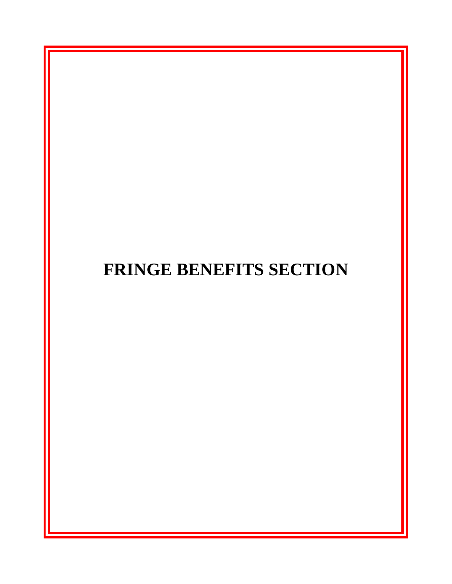# **FRINGE BENEFITS SECTION**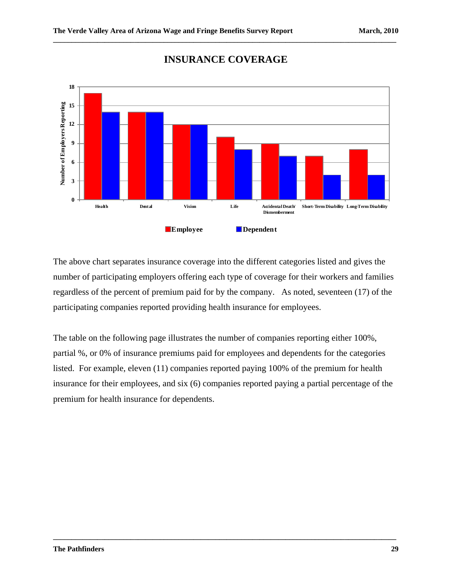

#### **INSURANCE COVERAGE**

**\_\_\_\_\_\_\_\_\_\_\_\_\_\_\_\_\_\_\_\_\_\_\_\_\_\_\_\_\_\_\_\_\_\_\_\_\_\_\_\_\_\_\_\_\_\_\_\_\_\_\_\_\_\_\_\_\_\_\_\_\_\_\_\_\_\_\_\_\_\_\_\_\_\_\_\_\_\_\_\_\_\_\_\_\_\_\_\_\_\_\_\_\_** 

The above chart separates insurance coverage into the different categories listed and gives the number of participating employers offering each type of coverage for their workers and families regardless of the percent of premium paid for by the company. As noted, seventeen (17) of the participating companies reported providing health insurance for employees.

The table on the following page illustrates the number of companies reporting either 100%, partial %, or 0% of insurance premiums paid for employees and dependents for the categories listed. For example, eleven (11) companies reported paying 100% of the premium for health insurance for their employees, and six (6) companies reported paying a partial percentage of the premium for health insurance for dependents.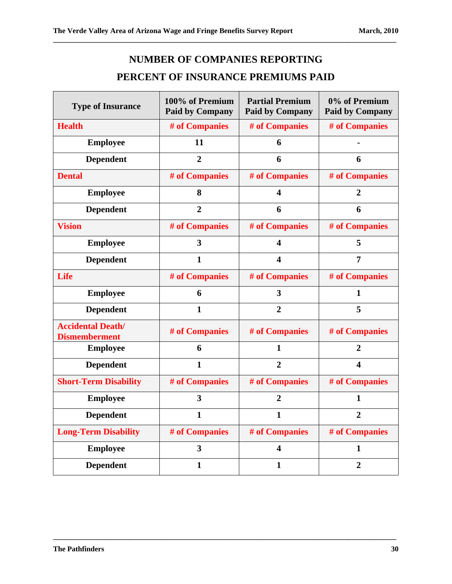# **NUMBER OF COMPANIES REPORTING**

**\_\_\_\_\_\_\_\_\_\_\_\_\_\_\_\_\_\_\_\_\_\_\_\_\_\_\_\_\_\_\_\_\_\_\_\_\_\_\_\_\_\_\_\_\_\_\_\_\_\_\_\_\_\_\_\_\_\_\_\_\_\_\_\_\_\_\_\_\_\_\_\_\_\_\_\_\_\_\_\_\_\_\_\_\_\_\_\_\_\_\_\_\_** 

# **PERCENT OF INSURANCE PREMIUMS PAID**

| <b>Type of Insurance</b>                         | 100% of Premium<br><b>Paid by Company</b> | <b>Partial Premium</b><br><b>Paid by Company</b> | 0% of Premium<br><b>Paid by Company</b> |
|--------------------------------------------------|-------------------------------------------|--------------------------------------------------|-----------------------------------------|
| <b>Health</b>                                    | # of Companies                            | # of Companies                                   | # of Companies                          |
| <b>Employee</b>                                  | 11                                        | 6                                                |                                         |
| <b>Dependent</b>                                 | $\overline{2}$                            | 6                                                | 6                                       |
| <b>Dental</b>                                    | # of Companies                            | # of Companies                                   | # of Companies                          |
| <b>Employee</b>                                  | 8                                         | 4                                                | 2                                       |
| <b>Dependent</b>                                 | $\overline{2}$                            | 6                                                | 6                                       |
| <b>Vision</b>                                    | # of Companies                            | # of Companies                                   | # of Companies                          |
| <b>Employee</b>                                  | 3                                         | 4                                                | 5                                       |
| <b>Dependent</b>                                 | $\mathbf{1}$                              | 4                                                | $\overline{7}$                          |
| Life                                             | # of Companies                            | # of Companies                                   | # of Companies                          |
| <b>Employee</b>                                  | 6                                         | 3                                                | $\mathbf{1}$                            |
| <b>Dependent</b>                                 | $\mathbf{1}$                              | $\overline{2}$                                   | 5                                       |
| <b>Accidental Death/</b><br><b>Dismemberment</b> | # of Companies                            | # of Companies                                   | # of Companies                          |
| <b>Employee</b>                                  | 6                                         | $\mathbf{1}$                                     | $\overline{2}$                          |
| <b>Dependent</b>                                 | $\mathbf{1}$                              | $\overline{2}$                                   | $\overline{\mathbf{4}}$                 |
| <b>Short-Term Disability</b>                     | # of Companies                            | # of Companies                                   | # of Companies                          |
| <b>Employee</b>                                  | $\overline{\mathbf{3}}$                   | $\overline{2}$                                   | $\mathbf{1}$                            |
| <b>Dependent</b>                                 | $\mathbf{1}$                              | $\mathbf{1}$                                     | $\overline{2}$                          |
| <b>Long-Term Disability</b>                      | # of Companies                            | # of Companies                                   | # of Companies                          |
| <b>Employee</b>                                  | $\mathbf{3}$                              | $\overline{\mathbf{4}}$                          | 1                                       |
| <b>Dependent</b>                                 | $\mathbf{1}$                              | $\mathbf{1}$                                     | $\overline{2}$                          |

**\_\_\_\_\_\_\_\_\_\_\_\_\_\_\_\_\_\_\_\_\_\_\_\_\_\_\_\_\_\_\_\_\_\_\_\_\_\_\_\_\_\_\_\_\_\_\_\_\_\_\_\_\_\_\_\_\_\_\_\_\_\_\_\_\_\_\_\_\_\_\_\_\_\_\_\_\_\_\_\_\_\_\_\_\_\_\_\_\_\_\_\_\_** 

 $\mathbf{r}$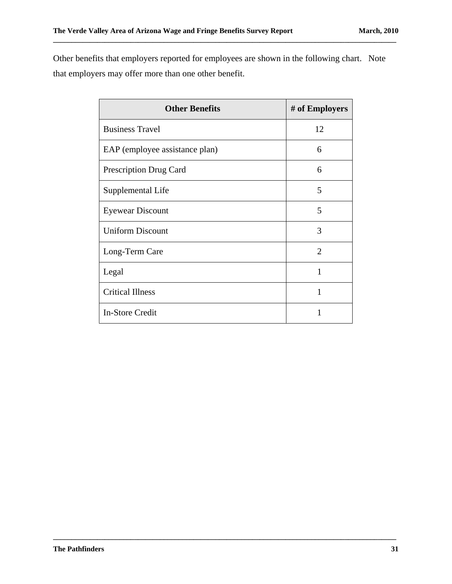Other benefits that employers reported for employees are shown in the following chart. Note that employers may offer more than one other benefit.

**\_\_\_\_\_\_\_\_\_\_\_\_\_\_\_\_\_\_\_\_\_\_\_\_\_\_\_\_\_\_\_\_\_\_\_\_\_\_\_\_\_\_\_\_\_\_\_\_\_\_\_\_\_\_\_\_\_\_\_\_\_\_\_\_\_\_\_\_\_\_\_\_\_\_\_\_\_\_\_\_\_\_\_\_\_\_\_\_\_\_\_\_\_** 

| <b>Other Benefits</b>          | # of Employers        |
|--------------------------------|-----------------------|
| <b>Business Travel</b>         | 12                    |
| EAP (employee assistance plan) | 6                     |
| <b>Prescription Drug Card</b>  | 6                     |
| Supplemental Life              | 5                     |
| <b>Eyewear Discount</b>        | 5                     |
| <b>Uniform Discount</b>        | 3                     |
| Long-Term Care                 | $\mathcal{D}_{\cdot}$ |
| Legal                          | 1                     |
| <b>Critical Illness</b>        | 1                     |
| <b>In-Store Credit</b>         | 1                     |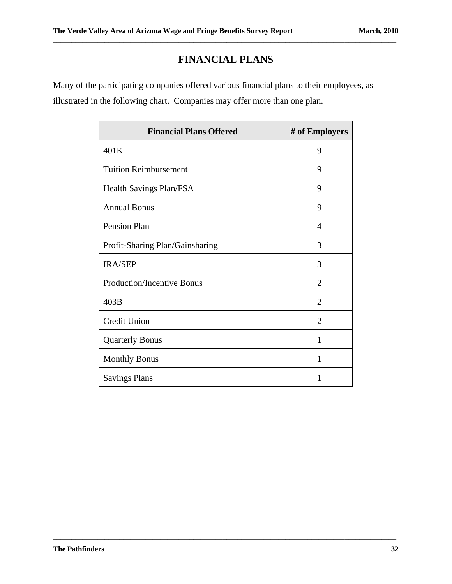# **FINANCIAL PLANS**

**\_\_\_\_\_\_\_\_\_\_\_\_\_\_\_\_\_\_\_\_\_\_\_\_\_\_\_\_\_\_\_\_\_\_\_\_\_\_\_\_\_\_\_\_\_\_\_\_\_\_\_\_\_\_\_\_\_\_\_\_\_\_\_\_\_\_\_\_\_\_\_\_\_\_\_\_\_\_\_\_\_\_\_\_\_\_\_\_\_\_\_\_\_** 

Many of the participating companies offered various financial plans to their employees, as illustrated in the following chart. Companies may offer more than one plan.

| <b>Financial Plans Offered</b>  | # of Employers |
|---------------------------------|----------------|
| 401K                            | 9              |
| <b>Tuition Reimbursement</b>    | 9              |
| <b>Health Savings Plan/FSA</b>  | 9              |
| <b>Annual Bonus</b>             | 9              |
| Pension Plan                    | $\overline{4}$ |
| Profit-Sharing Plan/Gainsharing | 3              |
| <b>IRA/SEP</b>                  | 3              |
| Production/Incentive Bonus      | $\overline{2}$ |
| 403B                            | $\overline{2}$ |
| <b>Credit Union</b>             | $\overline{2}$ |
| <b>Quarterly Bonus</b>          | 1              |
| <b>Monthly Bonus</b>            | 1              |
| <b>Savings Plans</b>            | 1              |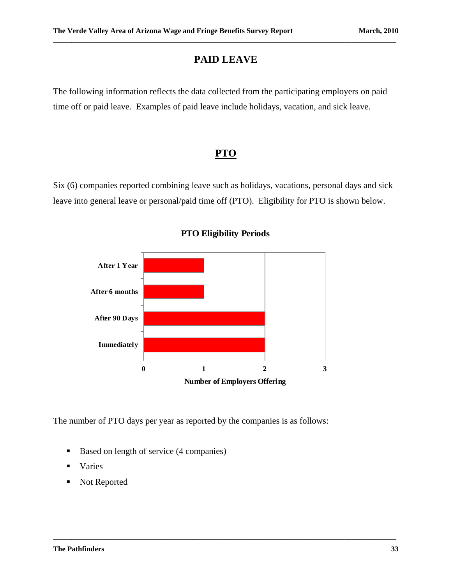# **PAID LEAVE**

**\_\_\_\_\_\_\_\_\_\_\_\_\_\_\_\_\_\_\_\_\_\_\_\_\_\_\_\_\_\_\_\_\_\_\_\_\_\_\_\_\_\_\_\_\_\_\_\_\_\_\_\_\_\_\_\_\_\_\_\_\_\_\_\_\_\_\_\_\_\_\_\_\_\_\_\_\_\_\_\_\_\_\_\_\_\_\_\_\_\_\_\_\_** 

The following information reflects the data collected from the participating employers on paid time off or paid leave. Examples of paid leave include holidays, vacation, and sick leave.

#### **PTO**

Six (6) companies reported combining leave such as holidays, vacations, personal days and sick leave into general leave or personal/paid time off (PTO). Eligibility for PTO is shown below.



**PTO Eligibility Periods**

The number of PTO days per year as reported by the companies is as follows:

- Based on length of service (4 companies)
- **varies**
- Not Reported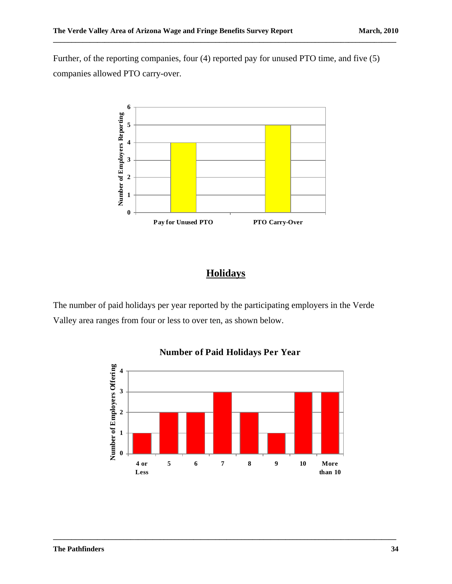Further, of the reporting companies, four (4) reported pay for unused PTO time, and five (5) companies allowed PTO carry-over.

**\_\_\_\_\_\_\_\_\_\_\_\_\_\_\_\_\_\_\_\_\_\_\_\_\_\_\_\_\_\_\_\_\_\_\_\_\_\_\_\_\_\_\_\_\_\_\_\_\_\_\_\_\_\_\_\_\_\_\_\_\_\_\_\_\_\_\_\_\_\_\_\_\_\_\_\_\_\_\_\_\_\_\_\_\_\_\_\_\_\_\_\_\_** 



# **Holidays**

The number of paid holidays per year reported by the participating employers in the Verde Valley area ranges from four or less to over ten, as shown below.



**\_\_\_\_\_\_\_\_\_\_\_\_\_\_\_\_\_\_\_\_\_\_\_\_\_\_\_\_\_\_\_\_\_\_\_\_\_\_\_\_\_\_\_\_\_\_\_\_\_\_\_\_\_\_\_\_\_\_\_\_\_\_\_\_\_\_\_\_\_\_\_\_\_\_\_\_\_\_\_\_\_\_\_\_\_\_\_\_\_\_\_\_\_** 

#### **Number of Paid Holidays Per Year**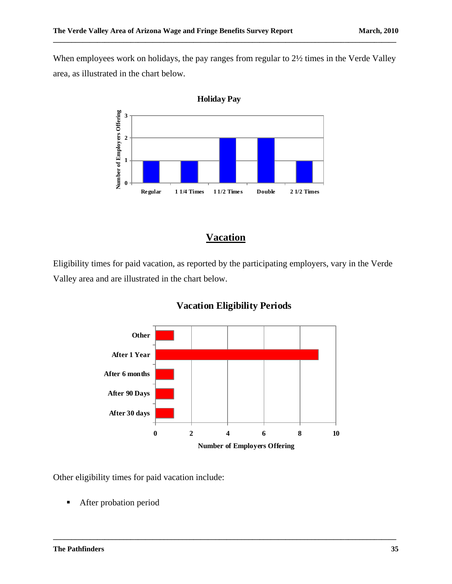When employees work on holidays, the pay ranges from regular to  $2\frac{1}{2}$  times in the Verde Valley area, as illustrated in the chart below.

**\_\_\_\_\_\_\_\_\_\_\_\_\_\_\_\_\_\_\_\_\_\_\_\_\_\_\_\_\_\_\_\_\_\_\_\_\_\_\_\_\_\_\_\_\_\_\_\_\_\_\_\_\_\_\_\_\_\_\_\_\_\_\_\_\_\_\_\_\_\_\_\_\_\_\_\_\_\_\_\_\_\_\_\_\_\_\_\_\_\_\_\_\_** 



#### **Vacation**

Eligibility times for paid vacation, as reported by the participating employers, vary in the Verde Valley area and are illustrated in the chart below.



**\_\_\_\_\_\_\_\_\_\_\_\_\_\_\_\_\_\_\_\_\_\_\_\_\_\_\_\_\_\_\_\_\_\_\_\_\_\_\_\_\_\_\_\_\_\_\_\_\_\_\_\_\_\_\_\_\_\_\_\_\_\_\_\_\_\_\_\_\_\_\_\_\_\_\_\_\_\_\_\_\_\_\_\_\_\_\_\_\_\_\_\_\_** 

#### **Vacation Eligibility Periods**

Other eligibility times for paid vacation include:

**After probation period**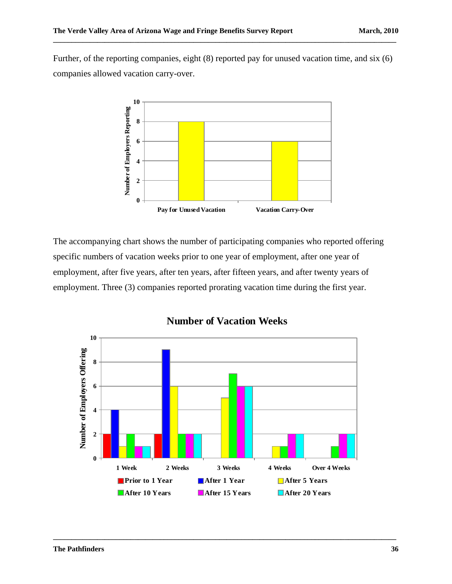Further, of the reporting companies, eight (8) reported pay for unused vacation time, and six (6) companies allowed vacation carry-over.

**\_\_\_\_\_\_\_\_\_\_\_\_\_\_\_\_\_\_\_\_\_\_\_\_\_\_\_\_\_\_\_\_\_\_\_\_\_\_\_\_\_\_\_\_\_\_\_\_\_\_\_\_\_\_\_\_\_\_\_\_\_\_\_\_\_\_\_\_\_\_\_\_\_\_\_\_\_\_\_\_\_\_\_\_\_\_\_\_\_\_\_\_\_** 



The accompanying chart shows the number of participating companies who reported offering specific numbers of vacation weeks prior to one year of employment, after one year of employment, after five years, after ten years, after fifteen years, and after twenty years of employment. Three (3) companies reported prorating vacation time during the first year.



**Number of Vacation Weeks**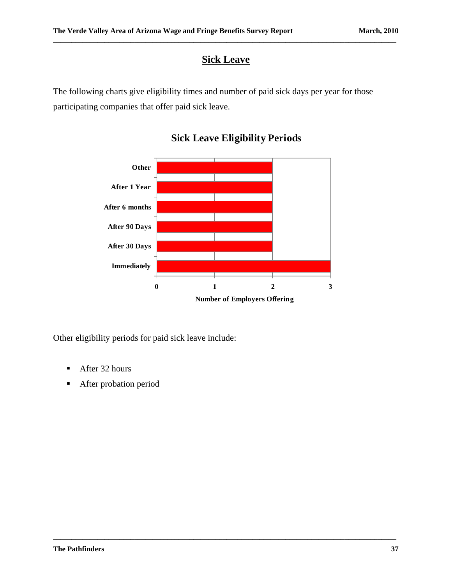# **Sick Leave**

**\_\_\_\_\_\_\_\_\_\_\_\_\_\_\_\_\_\_\_\_\_\_\_\_\_\_\_\_\_\_\_\_\_\_\_\_\_\_\_\_\_\_\_\_\_\_\_\_\_\_\_\_\_\_\_\_\_\_\_\_\_\_\_\_\_\_\_\_\_\_\_\_\_\_\_\_\_\_\_\_\_\_\_\_\_\_\_\_\_\_\_\_\_** 

The following charts give eligibility times and number of paid sick days per year for those participating companies that offer paid sick leave.



**\_\_\_\_\_\_\_\_\_\_\_\_\_\_\_\_\_\_\_\_\_\_\_\_\_\_\_\_\_\_\_\_\_\_\_\_\_\_\_\_\_\_\_\_\_\_\_\_\_\_\_\_\_\_\_\_\_\_\_\_\_\_\_\_\_\_\_\_\_\_\_\_\_\_\_\_\_\_\_\_\_\_\_\_\_\_\_\_\_\_\_\_\_** 

## **Sick Leave Eligibility Periods**

Other eligibility periods for paid sick leave include:

- After 32 hours
- **After probation period**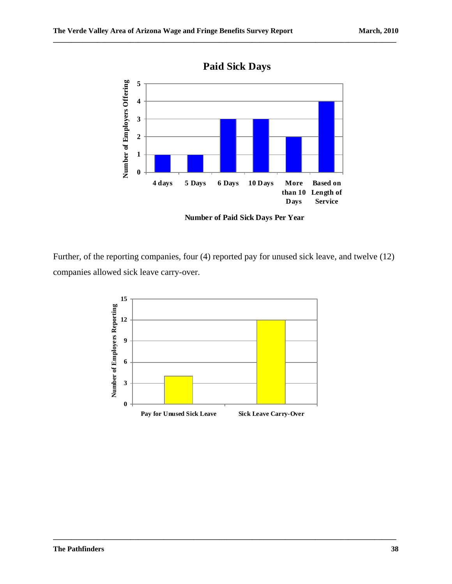

**\_\_\_\_\_\_\_\_\_\_\_\_\_\_\_\_\_\_\_\_\_\_\_\_\_\_\_\_\_\_\_\_\_\_\_\_\_\_\_\_\_\_\_\_\_\_\_\_\_\_\_\_\_\_\_\_\_\_\_\_\_\_\_\_\_\_\_\_\_\_\_\_\_\_\_\_\_\_\_\_\_\_\_\_\_\_\_\_\_\_\_\_\_** 

**Number of Paid Sick Days Per Year**

Further, of the reporting companies, four (4) reported pay for unused sick leave, and twelve (12) companies allowed sick leave carry-over.

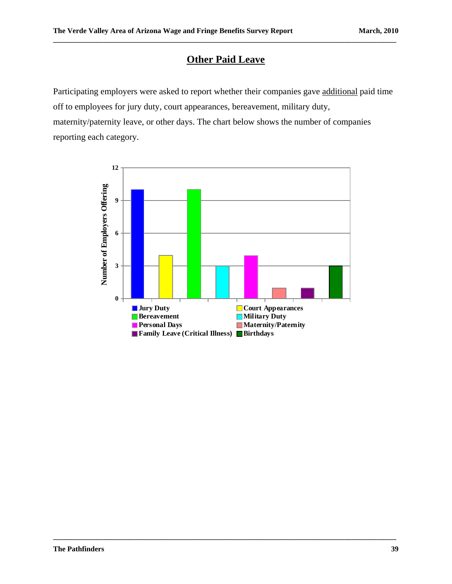# **Other Paid Leave**

**\_\_\_\_\_\_\_\_\_\_\_\_\_\_\_\_\_\_\_\_\_\_\_\_\_\_\_\_\_\_\_\_\_\_\_\_\_\_\_\_\_\_\_\_\_\_\_\_\_\_\_\_\_\_\_\_\_\_\_\_\_\_\_\_\_\_\_\_\_\_\_\_\_\_\_\_\_\_\_\_\_\_\_\_\_\_\_\_\_\_\_\_\_** 

Participating employers were asked to report whether their companies gave additional paid time off to employees for jury duty, court appearances, bereavement, military duty, maternity/paternity leave, or other days. The chart below shows the number of companies reporting each category.